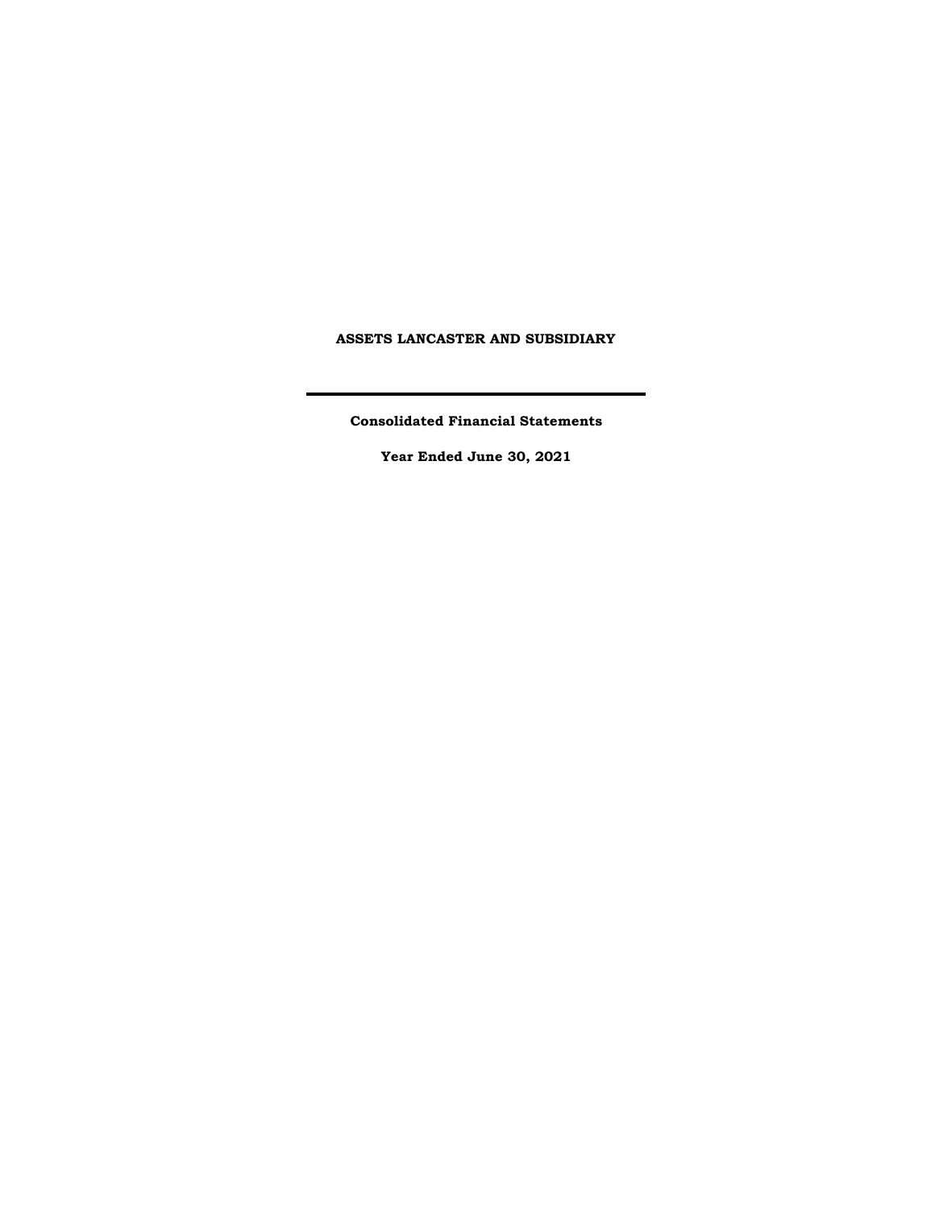# **ASSETS LANCASTER AND SUBSIDIARY**

**Consolidated Financial Statements**

**Year Ended June 30, 2021**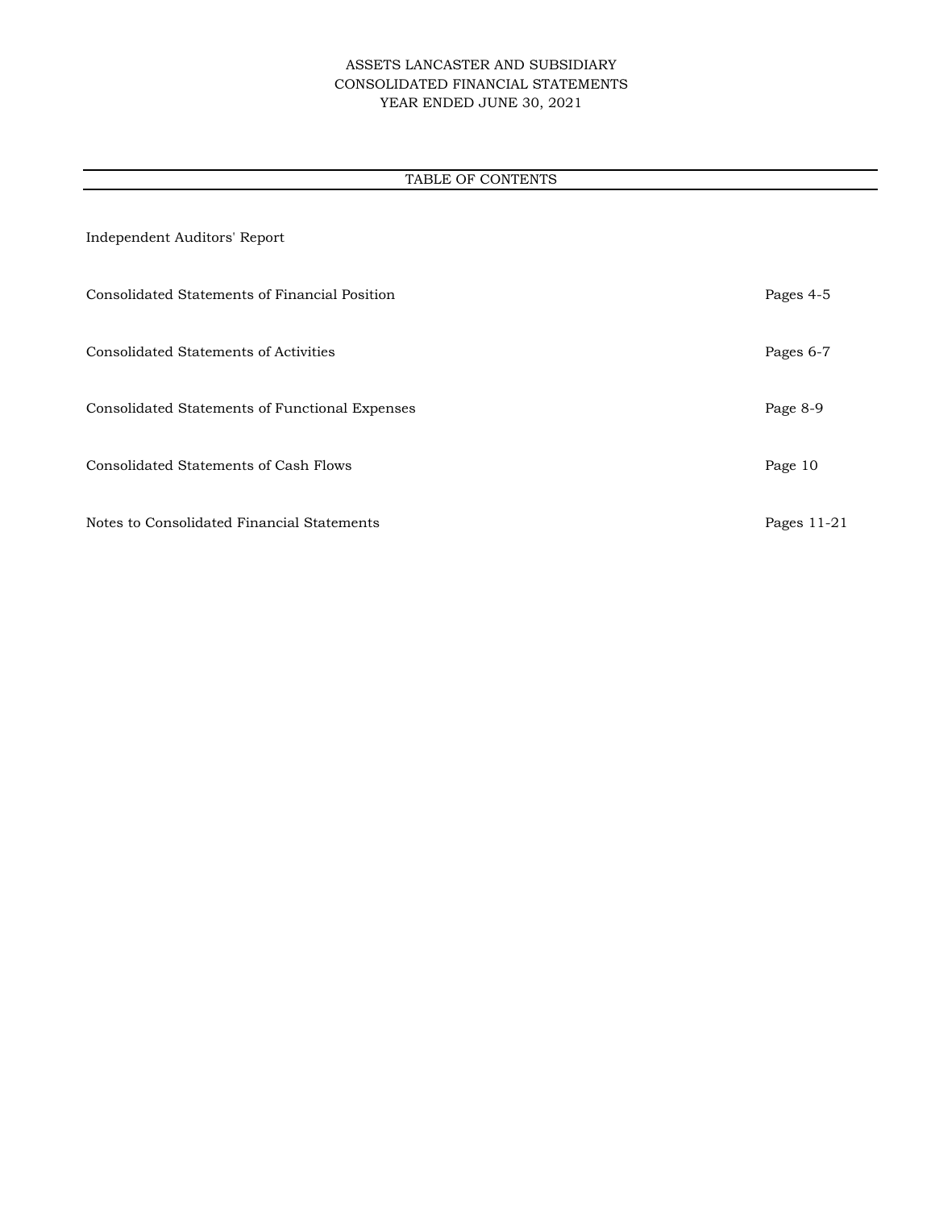# ASSETS LANCASTER AND SUBSIDIARY CONSOLIDATED FINANCIAL STATEMENTS YEAR ENDED JUNE 30, 2021

# TABLE OF CONTENTS

| Independent Auditors' Report                   |               |
|------------------------------------------------|---------------|
| Consolidated Statements of Financial Position  | Pages 4-5     |
| Consolidated Statements of Activities          | Pages 6-7     |
| Consolidated Statements of Functional Expenses | Page 8-9      |
| Consolidated Statements of Cash Flows          | Page 10       |
| Notes to Consolidated Financial Statements     | Pages $11-21$ |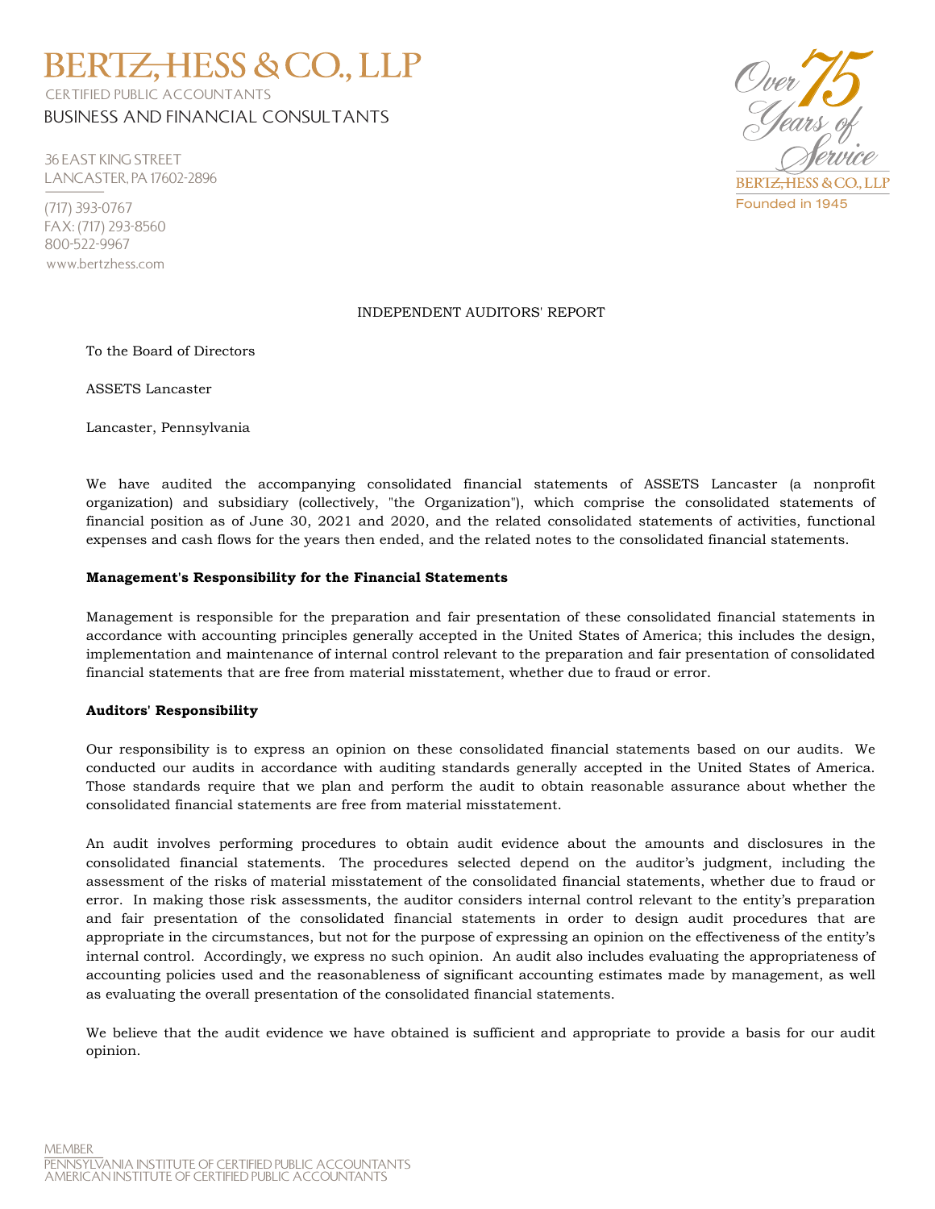**BERTZ, HESS & CO., LLP** CERTIFIED PUBLIC ACCOUNTANTS BUSINESS AND FINANCIAL CONSULTANTS

36 EAST KING STREET LANCASTER, PA 17602-2896

(717) 393-0767 FAX: (717) 293-8560 800-522-9967 www.bertzhess.com



# INDEPENDENT AUDITORS' REPORT

To the Board of Directors

ASSETS Lancaster

Lancaster, Pennsylvania

We have audited the accompanying consolidated financial statements of ASSETS Lancaster (a nonprofit organization) and subsidiary (collectively, "the Organization"), which comprise the consolidated statements of financial position as of June 30, 2021 and 2020, and the related consolidated statements of activities, functional expenses and cash flows for the years then ended, and the related notes to the consolidated financial statements.

## **Management's Responsibility for the Financial Statements**

Management is responsible for the preparation and fair presentation of these consolidated financial statements in accordance with accounting principles generally accepted in the United States of America; this includes the design, implementation and maintenance of internal control relevant to the preparation and fair presentation of consolidated financial statements that are free from material misstatement, whether due to fraud or error.

## **Auditors' Responsibility**

Our responsibility is to express an opinion on these consolidated financial statements based on our audits. We conducted our audits in accordance with auditing standards generally accepted in the United States of America. Those standards require that we plan and perform the audit to obtain reasonable assurance about whether the consolidated financial statements are free from material misstatement.

An audit involves performing procedures to obtain audit evidence about the amounts and disclosures in the consolidated financial statements. The procedures selected depend on the auditor's judgment, including the assessment of the risks of material misstatement of the consolidated financial statements, whether due to fraud or error. In making those risk assessments, the auditor considers internal control relevant to the entity's preparation and fair presentation of the consolidated financial statements in order to design audit procedures that are appropriate in the circumstances, but not for the purpose of expressing an opinion on the effectiveness of the entity's internal control. Accordingly, we express no such opinion. An audit also includes evaluating the appropriateness of accounting policies used and the reasonableness of significant accounting estimates made by management, as well as evaluating the overall presentation of the consolidated financial statements.

We believe that the audit evidence we have obtained is sufficient and appropriate to provide a basis for our audit opinion.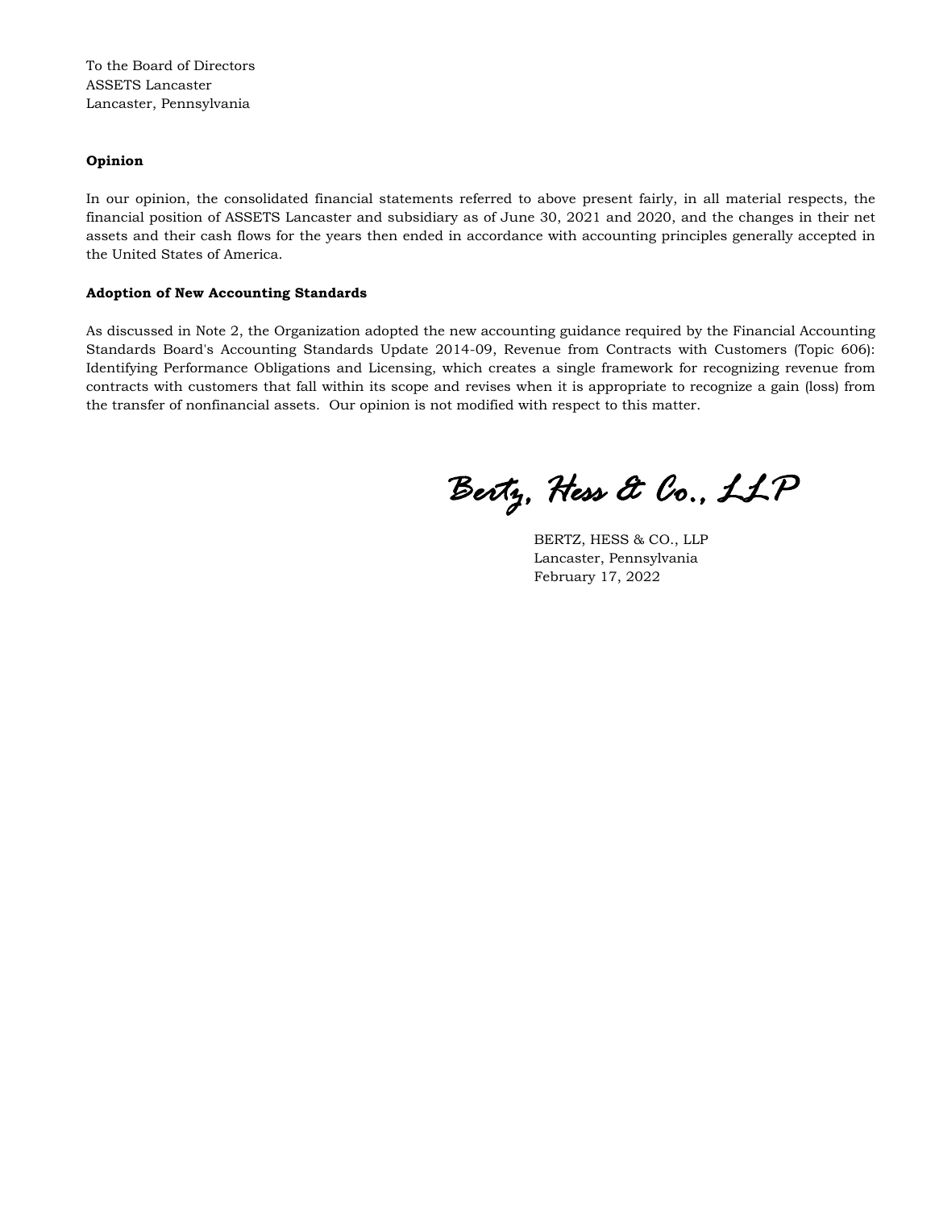To the Board of Directors ASSETS Lancaster Lancaster, Pennsylvania

## **Opinion**

In our opinion, the consolidated financial statements referred to above present fairly, in all material respects, the financial position of ASSETS Lancaster and subsidiary as of June 30, 2021 and 2020, and the changes in their net assets and their cash flows for the years then ended in accordance with accounting principles generally accepted in the United States of America.

## **Adoption of New Accounting Standards**

As discussed in Note 2, the Organization adopted the new accounting guidance required by the Financial Accounting Standards Board's Accounting Standards Update 2014-09, Revenue from Contracts with Customers (Topic 606): Identifying Performance Obligations and Licensing, which creates a single framework for recognizing revenue from contracts with customers that fall within its scope and revises when it is appropriate to recognize a gain (loss) from the transfer of nonfinancial assets. Our opinion is not modified with respect to this matter.

*Bertz, Hess & Co., LLP*

BERTZ, HESS & CO., LLP Lancaster, Pennsylvania February 17, 2022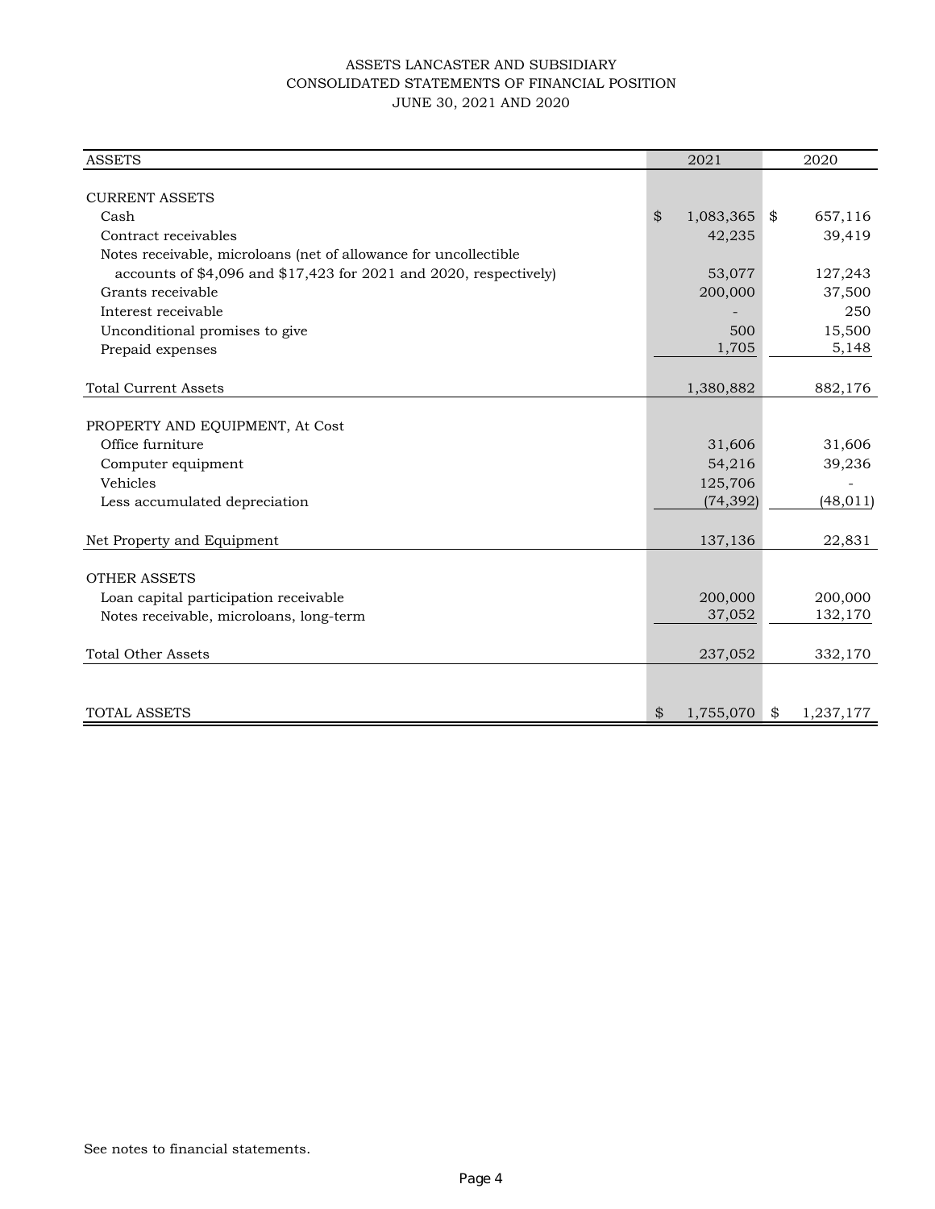# ASSETS LANCASTER AND SUBSIDIARY CONSOLIDATED STATEMENTS OF FINANCIAL POSITION JUNE 30, 2021 AND 2020

| <b>ASSETS</b>                                                       | 2021 |              | 2020            |
|---------------------------------------------------------------------|------|--------------|-----------------|
|                                                                     |      |              |                 |
| <b>CURRENT ASSETS</b>                                               |      |              |                 |
| Cash                                                                | \$   | 1,083,365 \$ | 657,116         |
| Contract receivables                                                |      | 42,235       | 39,419          |
| Notes receivable, microloans (net of allowance for uncollectible    |      |              |                 |
| accounts of $$4,096$ and $$17,423$ for 2021 and 2020, respectively) |      | 53,077       | 127,243         |
| Grants receivable                                                   |      | 200,000      | 37,500          |
| Interest receivable                                                 |      |              | 250             |
| Unconditional promises to give                                      |      | 500          | 15,500          |
| Prepaid expenses                                                    |      | 1,705        | 5,148           |
|                                                                     |      |              |                 |
| <b>Total Current Assets</b>                                         |      | 1,380,882    | 882,176         |
|                                                                     |      |              |                 |
| PROPERTY AND EQUIPMENT, At Cost                                     |      |              |                 |
| Office furniture                                                    |      | 31,606       | 31,606          |
| Computer equipment                                                  |      | 54,216       | 39,236          |
| Vehicles                                                            |      | 125,706      |                 |
| Less accumulated depreciation                                       |      | (74, 392)    | (48, 011)       |
|                                                                     |      |              |                 |
| Net Property and Equipment                                          |      | 137,136      | 22,831          |
|                                                                     |      |              |                 |
| <b>OTHER ASSETS</b>                                                 |      |              |                 |
| Loan capital participation receivable                               |      | 200,000      | 200,000         |
| Notes receivable, microloans, long-term                             |      | 37,052       | 132,170         |
| <b>Total Other Assets</b>                                           |      | 237,052      | 332,170         |
|                                                                     |      |              |                 |
|                                                                     |      |              |                 |
| <b>TOTAL ASSETS</b>                                                 | \$   | 1,755,070    | \$<br>1,237,177 |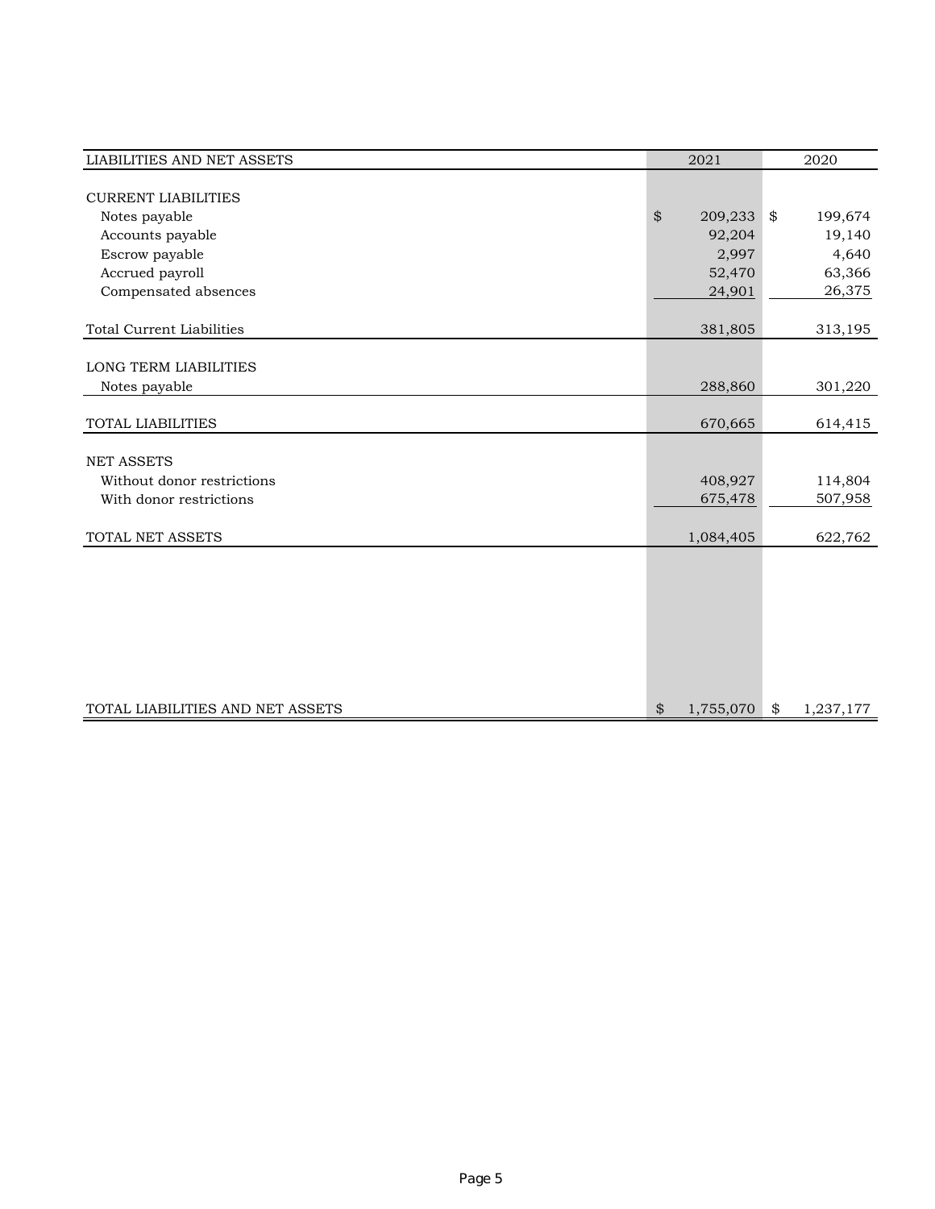| LIABILITIES AND NET ASSETS       | 2021            | 2020            |
|----------------------------------|-----------------|-----------------|
|                                  |                 |                 |
| <b>CURRENT LIABILITIES</b>       |                 |                 |
| Notes payable                    | \$<br>209,233   | \$<br>199,674   |
| Accounts payable                 | 92,204          | 19,140          |
| Escrow payable                   | 2,997           | 4,640           |
| Accrued payroll                  | 52,470          | 63,366          |
| Compensated absences             | 24,901          | 26,375          |
| <b>Total Current Liabilities</b> | 381,805         | 313,195         |
|                                  |                 |                 |
| LONG TERM LIABILITIES            |                 |                 |
| Notes payable                    | 288,860         | 301,220         |
|                                  |                 |                 |
| TOTAL LIABILITIES                | 670,665         | 614,415         |
| NET ASSETS                       |                 |                 |
| Without donor restrictions       | 408,927         | 114,804         |
| With donor restrictions          | 675,478         | 507,958         |
|                                  |                 |                 |
| TOTAL NET ASSETS                 | 1,084,405       | 622,762         |
|                                  |                 |                 |
|                                  |                 |                 |
|                                  |                 |                 |
|                                  |                 |                 |
|                                  |                 |                 |
|                                  |                 |                 |
|                                  |                 |                 |
| TOTAL LIABILITIES AND NET ASSETS | \$<br>1,755,070 | 1,237,177<br>\$ |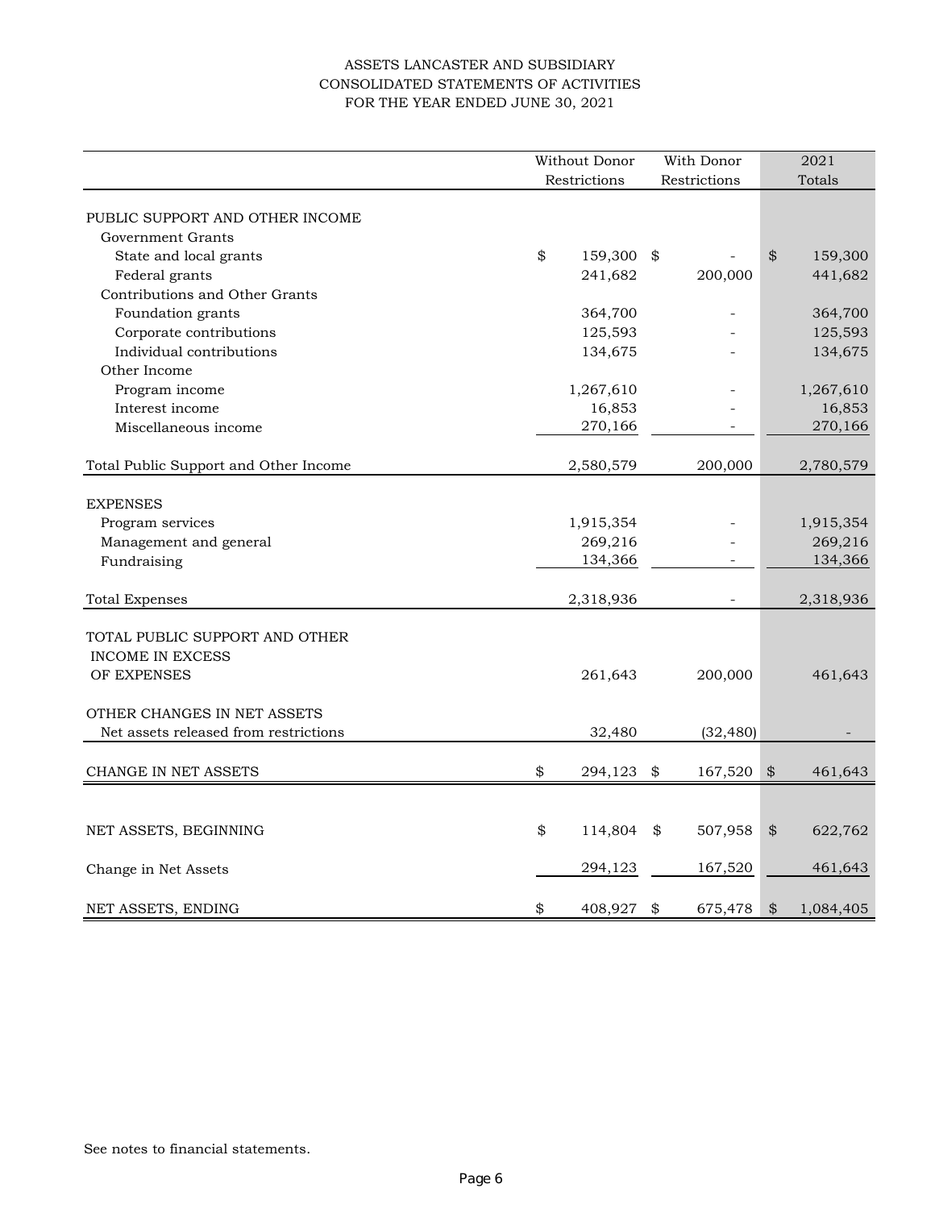# ASSETS LANCASTER AND SUBSIDIARY CONSOLIDATED STATEMENTS OF ACTIVITIES FOR THE YEAR ENDED JUNE 30, 2021

|                                       | Without Donor |    | With Donor   |    | 2021      |
|---------------------------------------|---------------|----|--------------|----|-----------|
|                                       | Restrictions  |    | Restrictions |    | Totals    |
|                                       |               |    |              |    |           |
| PUBLIC SUPPORT AND OTHER INCOME       |               |    |              |    |           |
| Government Grants                     |               |    |              |    |           |
| State and local grants                | \$<br>159,300 | \$ |              | \$ | 159,300   |
| Federal grants                        | 241,682       |    | 200,000      |    | 441,682   |
| Contributions and Other Grants        |               |    |              |    |           |
| Foundation grants                     | 364,700       |    |              |    | 364,700   |
| Corporate contributions               | 125,593       |    |              |    | 125,593   |
| Individual contributions              | 134,675       |    |              |    | 134,675   |
| Other Income                          |               |    |              |    |           |
| Program income                        | 1,267,610     |    |              |    | 1,267,610 |
| Interest income                       | 16,853        |    |              |    | 16,853    |
| Miscellaneous income                  | 270,166       |    |              |    | 270,166   |
| Total Public Support and Other Income | 2,580,579     |    | 200,000      |    | 2,780,579 |
|                                       |               |    |              |    |           |
| <b>EXPENSES</b>                       |               |    |              |    |           |
| Program services                      | 1,915,354     |    |              |    | 1,915,354 |
| Management and general                | 269,216       |    |              |    | 269,216   |
| Fundraising                           | 134,366       |    | $\sim$       |    | 134,366   |
| <b>Total Expenses</b>                 | 2,318,936     |    |              |    | 2,318,936 |
|                                       |               |    |              |    |           |
| TOTAL PUBLIC SUPPORT AND OTHER        |               |    |              |    |           |
| <b>INCOME IN EXCESS</b>               |               |    |              |    |           |
| OF EXPENSES                           | 261,643       |    | 200,000      |    | 461,643   |
|                                       |               |    |              |    |           |
| OTHER CHANGES IN NET ASSETS           |               |    |              |    |           |
| Net assets released from restrictions | 32,480        |    | (32, 480)    |    |           |
|                                       |               |    |              |    |           |
| CHANGE IN NET ASSETS                  | \$<br>294,123 | \$ | 167,520      | \$ | 461,643   |
|                                       |               |    |              |    |           |
|                                       |               |    |              |    |           |
| NET ASSETS, BEGINNING                 | \$<br>114,804 | \$ | 507,958      | \$ | 622,762   |
| Change in Net Assets                  | 294,123       |    | 167,520      |    | 461,643   |
|                                       |               |    |              |    |           |
| NET ASSETS, ENDING                    | \$<br>408,927 | \$ | 675,478      | \$ | 1,084,405 |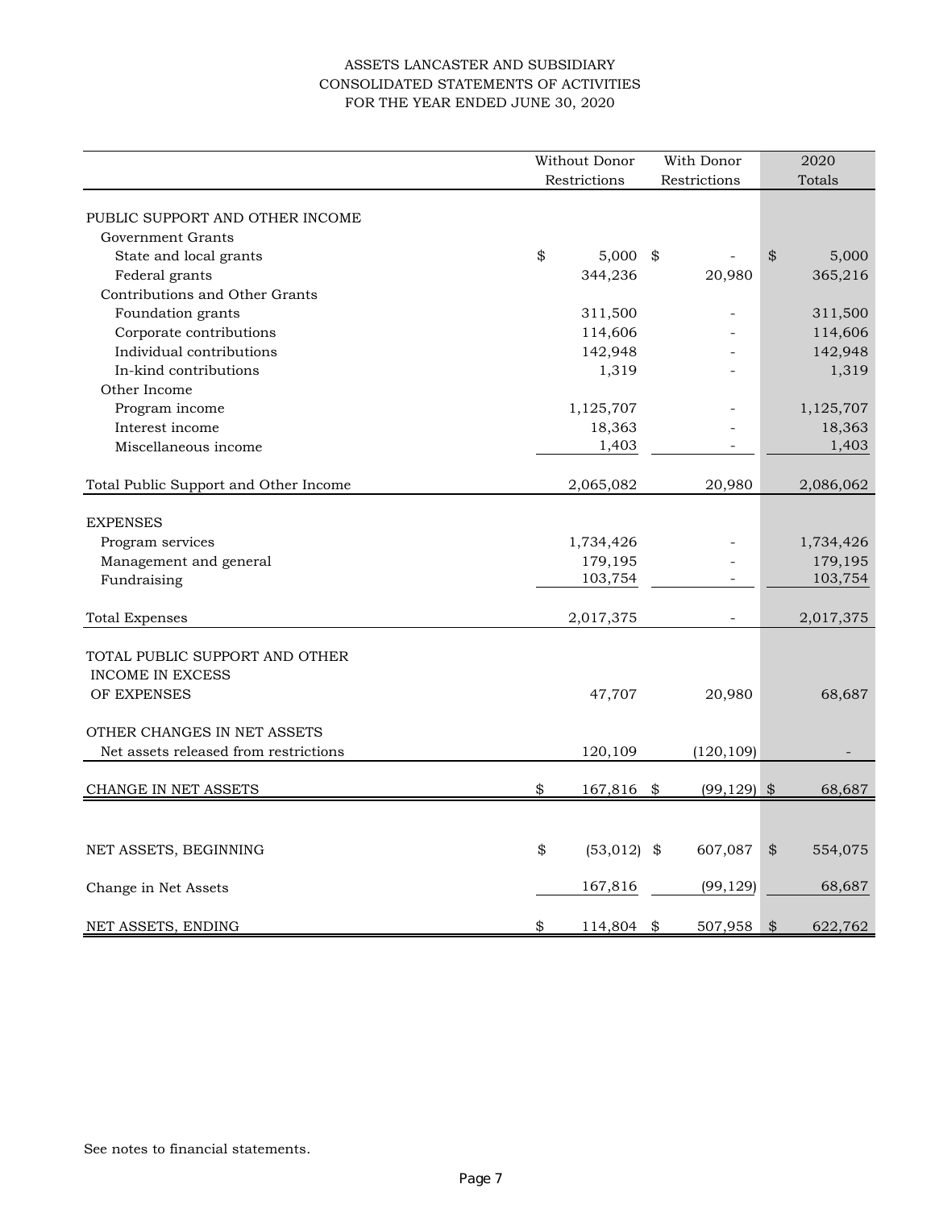# ASSETS LANCASTER AND SUBSIDIARY CONSOLIDATED STATEMENTS OF ACTIVITIES FOR THE YEAR ENDED JUNE 30, 2020

|                                       | Without Donor       | With Donor     |               | 2020      |
|---------------------------------------|---------------------|----------------|---------------|-----------|
|                                       | Restrictions        | Restrictions   |               | Totals    |
|                                       |                     |                |               |           |
| PUBLIC SUPPORT AND OTHER INCOME       |                     |                |               |           |
| Government Grants                     |                     |                |               |           |
| State and local grants                | \$<br>$5,000$ \$    |                | \$            | 5,000     |
| Federal grants                        | 344,236             | 20,980         |               | 365,216   |
| Contributions and Other Grants        |                     |                |               |           |
| Foundation grants                     | 311,500             |                |               | 311,500   |
| Corporate contributions               | 114,606             |                |               | 114,606   |
| Individual contributions              | 142,948             |                |               | 142,948   |
| In-kind contributions                 | 1,319               |                |               | 1,319     |
| Other Income                          |                     |                |               |           |
| Program income                        | 1,125,707           |                |               | 1,125,707 |
| Interest income                       | 18,363              |                |               | 18,363    |
| Miscellaneous income                  | 1,403               | ÷.             |               | 1,403     |
|                                       |                     |                |               |           |
| Total Public Support and Other Income | 2,065,082           | 20,980         |               | 2,086,062 |
| <b>EXPENSES</b>                       |                     |                |               |           |
| Program services                      | 1,734,426           |                |               | 1,734,426 |
| Management and general                | 179,195             |                |               | 179,195   |
| Fundraising                           | 103,754             |                |               | 103,754   |
|                                       |                     |                |               |           |
| <b>Total Expenses</b>                 | 2,017,375           |                |               | 2,017,375 |
| TOTAL PUBLIC SUPPORT AND OTHER        |                     |                |               |           |
| <b>INCOME IN EXCESS</b>               |                     |                |               |           |
| OF EXPENSES                           | 47,707              | 20,980         |               | 68,687    |
|                                       |                     |                |               |           |
| OTHER CHANGES IN NET ASSETS           |                     |                |               |           |
| Net assets released from restrictions | 120,109             | (120, 109)     |               |           |
|                                       |                     |                |               |           |
| CHANGE IN NET ASSETS                  | \$<br>$167,816$ \$  | $(99, 129)$ \$ |               | 68,687    |
|                                       |                     |                |               |           |
| NET ASSETS, BEGINNING                 | \$<br>$(53,012)$ \$ | 607,087        | \$            | 554,075   |
|                                       |                     |                |               |           |
| Change in Net Assets                  | 167,816             | (99, 129)      |               | 68,687    |
| NET ASSETS, ENDING                    | \$<br>114,804 \$    | 507,958        | $\frac{1}{2}$ | 622,762   |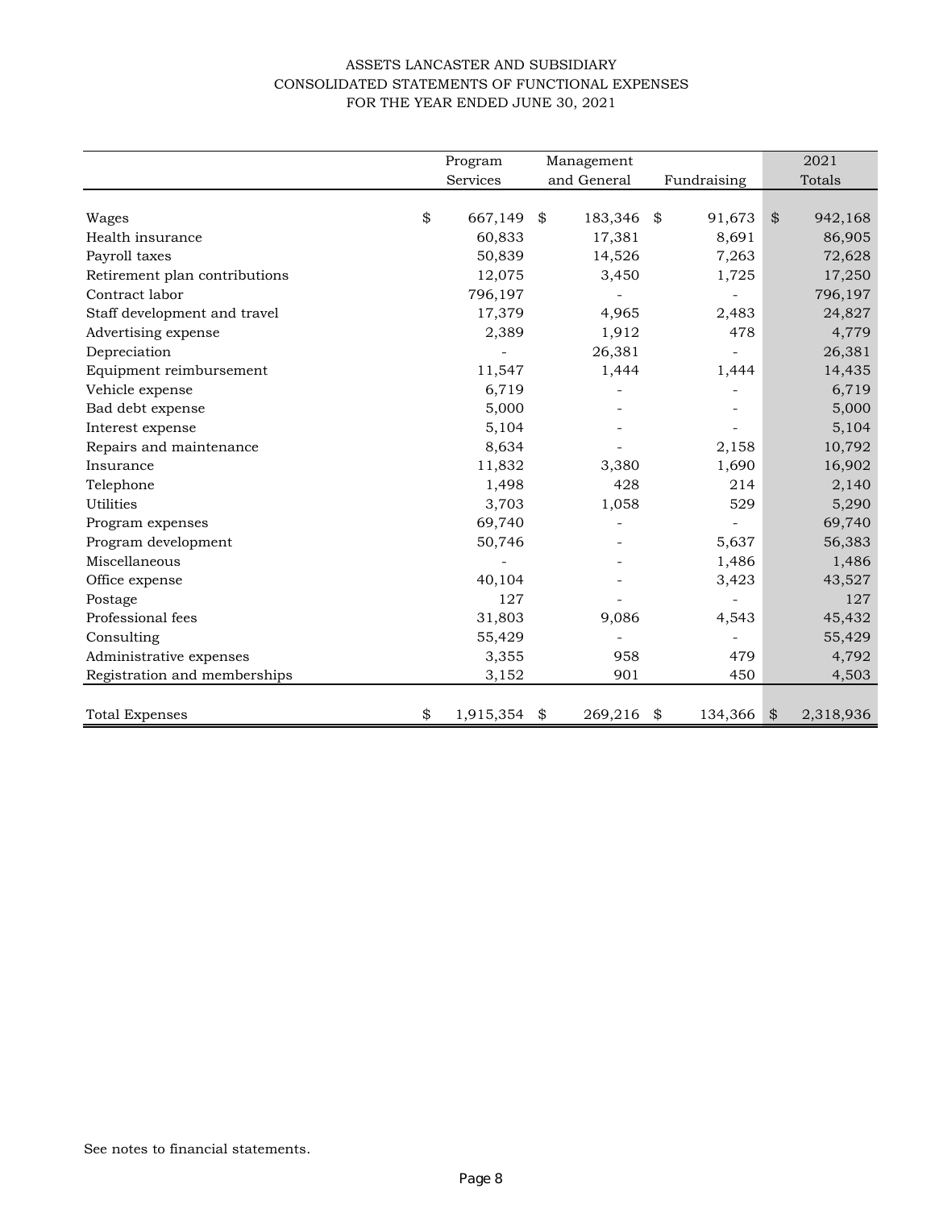# ASSETS LANCASTER AND SUBSIDIARY CONSOLIDATED STATEMENTS OF FUNCTIONAL EXPENSES FOR THE YEAR ENDED JUNE 30, 2021

|                               | Program         | Management                 |               |                | 2021      |
|-------------------------------|-----------------|----------------------------|---------------|----------------|-----------|
|                               | Services        | and General<br>Fundraising |               | Totals         |           |
|                               |                 |                            |               |                |           |
| Wages                         | \$<br>667,149   | \$<br>183,346              | -\$<br>91,673 | $\mathfrak{P}$ | 942,168   |
| Health insurance              | 60,833          | 17,381                     | 8,691         |                | 86,905    |
| Payroll taxes                 | 50,839          | 14,526                     | 7,263         |                | 72,628    |
| Retirement plan contributions | 12,075          | 3,450                      | 1,725         |                | 17,250    |
| Contract labor                | 796,197         |                            |               |                | 796,197   |
| Staff development and travel  | 17,379          | 4,965                      | 2,483         |                | 24,827    |
| Advertising expense           | 2,389           | 1,912                      | 478           |                | 4,779     |
| Depreciation                  |                 | 26,381                     |               |                | 26,381    |
| Equipment reimbursement       | 11,547          | 1,444                      | 1,444         |                | 14,435    |
| Vehicle expense               | 6,719           |                            |               |                | 6,719     |
| Bad debt expense              | 5,000           |                            |               |                | 5,000     |
| Interest expense              | 5,104           |                            |               |                | 5,104     |
| Repairs and maintenance       | 8,634           |                            | 2,158         |                | 10,792    |
| Insurance                     | 11,832          | 3,380                      | 1,690         |                | 16,902    |
| Telephone                     | 1,498           | 428                        | 214           |                | 2,140     |
| <b>Utilities</b>              | 3,703           | 1,058                      | 529           |                | 5,290     |
| Program expenses              | 69,740          |                            |               |                | 69,740    |
| Program development           | 50,746          |                            | 5,637         |                | 56,383    |
| Miscellaneous                 |                 |                            | 1,486         |                | 1,486     |
| Office expense                | 40,104          |                            | 3,423         |                | 43,527    |
| Postage                       | 127             |                            |               |                | 127       |
| Professional fees             | 31,803          | 9,086                      | 4,543         |                | 45,432    |
| Consulting                    | 55,429          |                            |               |                | 55,429    |
| Administrative expenses       | 3,355           | 958                        | 479           |                | 4,792     |
| Registration and memberships  | 3,152           | 901                        | 450           |                | 4,503     |
|                               |                 |                            |               |                |           |
| <b>Total Expenses</b>         | \$<br>1,915,354 | \$<br>269,216              | \$<br>134,366 | \$             | 2,318,936 |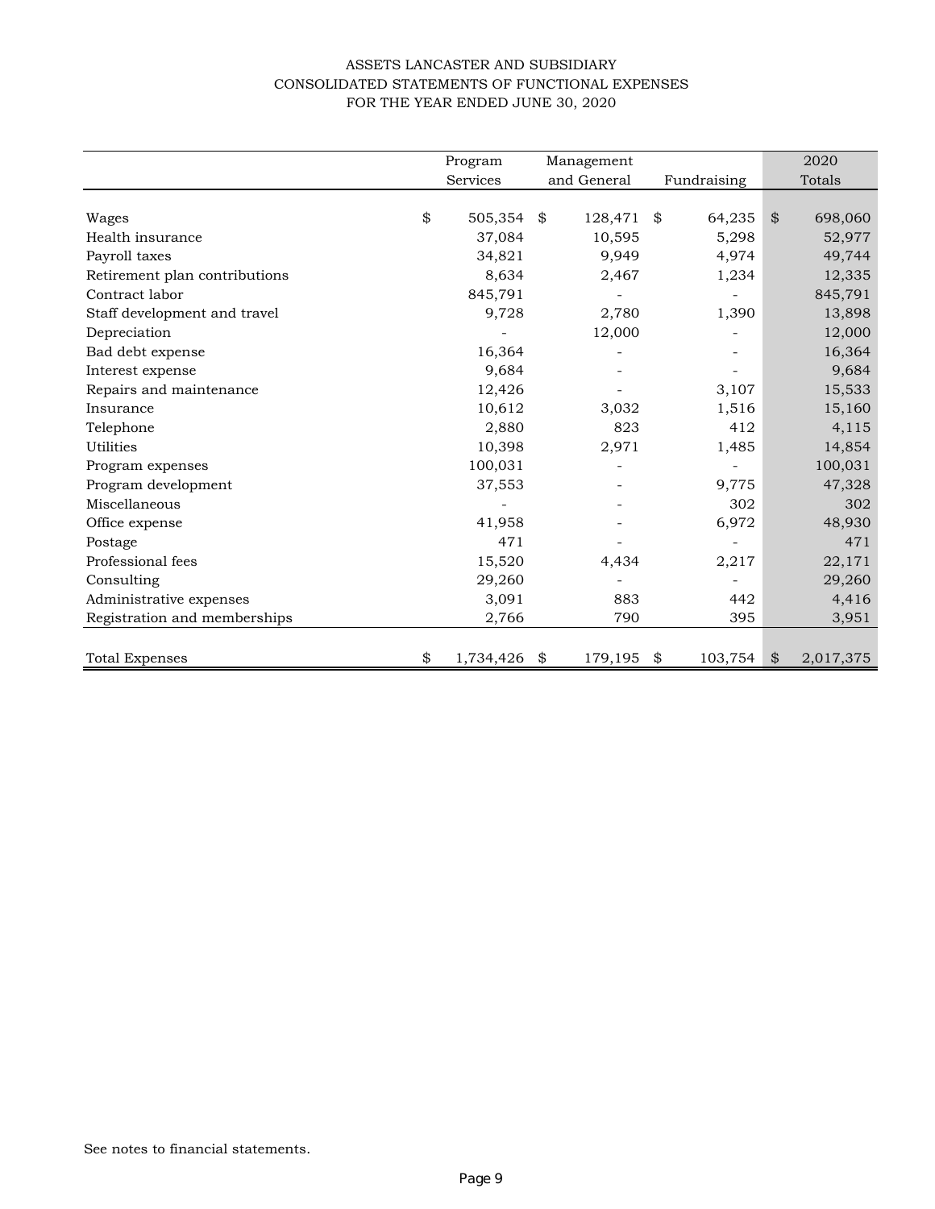# ASSETS LANCASTER AND SUBSIDIARY CONSOLIDATED STATEMENTS OF FUNCTIONAL EXPENSES FOR THE YEAR ENDED JUNE 30, 2020

|                               | Program         | Management  |         |       |             |        | 2020      |
|-------------------------------|-----------------|-------------|---------|-------|-------------|--------|-----------|
|                               | Services        | and General |         |       | Fundraising | Totals |           |
|                               |                 |             |         |       |             |        |           |
| Wages                         | \$<br>505,354   | \$          | 128,471 | \$    | 64,235      | \$     | 698,060   |
| Health insurance              | 37,084          |             | 10,595  |       | 5,298       |        | 52,977    |
| Payroll taxes                 | 34,821          |             | 9,949   |       | 4,974       |        | 49,744    |
| Retirement plan contributions | 8,634           |             | 2,467   |       | 1,234       |        | 12,335    |
| Contract labor                | 845,791         |             |         |       |             |        | 845,791   |
| Staff development and travel  | 9,728           |             | 2,780   |       | 1,390       |        | 13,898    |
| Depreciation                  |                 |             | 12,000  |       |             |        | 12,000    |
| Bad debt expense              | 16,364          |             |         |       |             |        | 16,364    |
| Interest expense              | 9,684           |             |         |       |             |        | 9,684     |
| Repairs and maintenance       | 12,426          |             |         |       | 3,107       |        | 15,533    |
| Insurance                     | 10,612          |             | 3,032   |       | 1,516       |        | 15,160    |
| Telephone                     | 2,880           |             | 823     |       | 412         |        | 4,115     |
| Utilities                     | 10,398          |             | 2,971   |       | 1,485       |        | 14,854    |
| Program expenses              | 100,031         |             |         |       |             |        | 100,031   |
| Program development           | 37,553          |             |         |       | 9,775       |        | 47,328    |
| Miscellaneous                 |                 |             |         |       | 302         |        | 302       |
| Office expense                | 41,958          |             |         |       | 6,972       |        | 48,930    |
| Postage                       | 471             |             |         |       |             |        | 471       |
| Professional fees             | 15,520          | 4,434       |         | 2,217 |             | 22,171 |           |
| Consulting                    | 29,260          |             |         |       |             |        | 29,260    |
| Administrative expenses       | 3,091           |             | 883     |       | 442         |        | 4,416     |
| Registration and memberships  | 2,766           |             | 790     |       | 395         |        | 3,951     |
|                               |                 |             |         |       |             |        |           |
| <b>Total Expenses</b>         | \$<br>1,734,426 | \$          | 179,195 | \$    | 103,754     | \$     | 2,017,375 |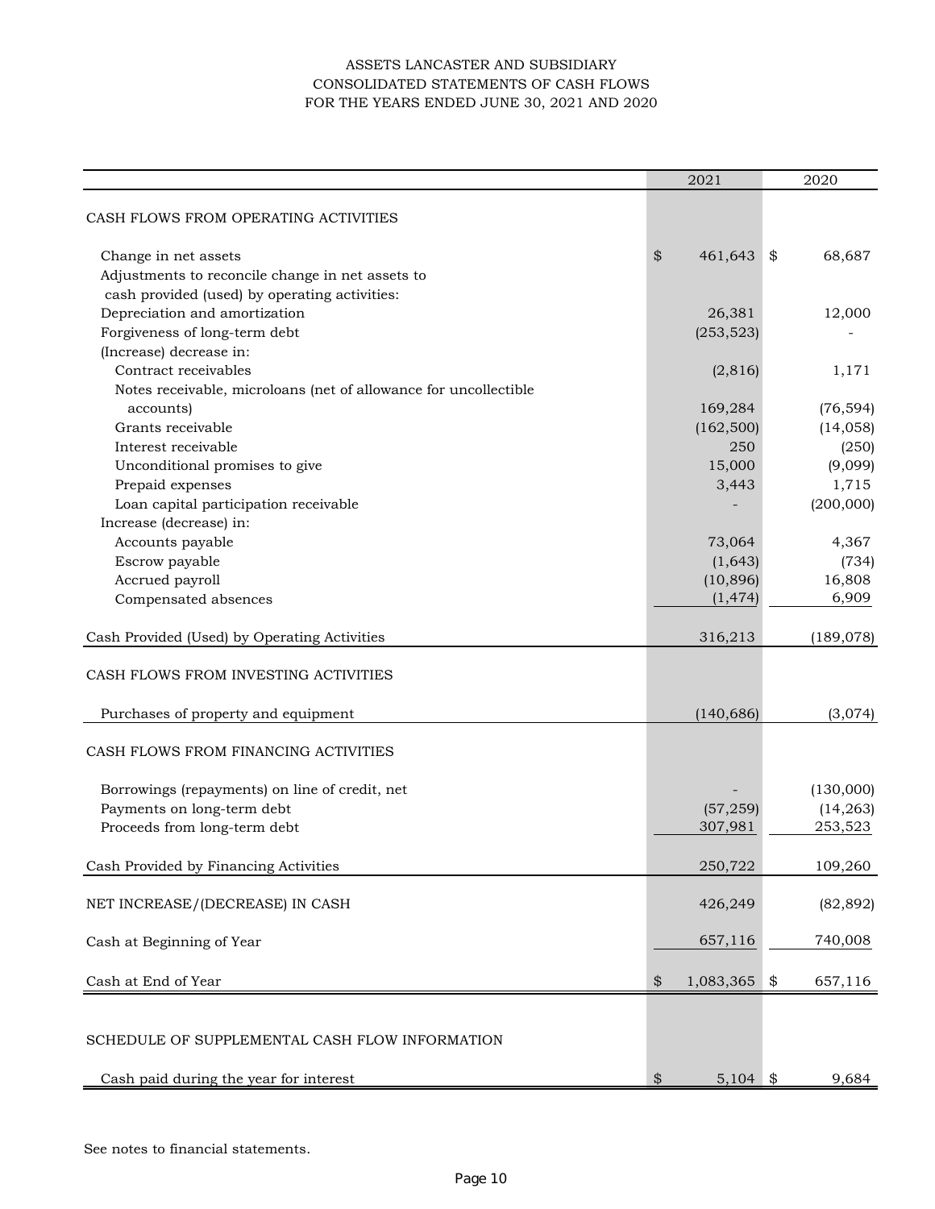# ASSETS LANCASTER AND SUBSIDIARY CONSOLIDATED STATEMENTS OF CASH FLOWS FOR THE YEARS ENDED JUNE 30, 2021 AND 2020

|                                                                                          | 2021             | 2020          |
|------------------------------------------------------------------------------------------|------------------|---------------|
| CASH FLOWS FROM OPERATING ACTIVITIES                                                     |                  |               |
| Change in net assets                                                                     | \$<br>461,643    | \$<br>68,687  |
| Adjustments to reconcile change in net assets to                                         |                  |               |
| cash provided (used) by operating activities:                                            |                  |               |
| Depreciation and amortization                                                            | 26,381           | 12,000        |
| Forgiveness of long-term debt                                                            | (253, 523)       |               |
| (Increase) decrease in:                                                                  |                  |               |
| Contract receivables                                                                     | (2,816)          | 1,171         |
| Notes receivable, microloans (net of allowance for uncollectible                         |                  |               |
| accounts)                                                                                | 169,284          | (76, 594)     |
| Grants receivable                                                                        | (162, 500)       | (14, 058)     |
| Interest receivable                                                                      | 250              | (250)         |
|                                                                                          | 15,000           | (9,099)       |
| Unconditional promises to give                                                           |                  |               |
| Prepaid expenses                                                                         | 3,443            | 1,715         |
| Loan capital participation receivable                                                    |                  | (200,000)     |
| Increase (decrease) in:                                                                  |                  |               |
| Accounts payable                                                                         | 73,064           | 4,367         |
| Escrow payable                                                                           | (1,643)          | (734)         |
| Accrued payroll                                                                          | (10, 896)        | 16,808        |
| Compensated absences                                                                     | (1, 474)         | 6,909         |
| Cash Provided (Used) by Operating Activities                                             | 316,213          | (189,078)     |
| CASH FLOWS FROM INVESTING ACTIVITIES                                                     |                  |               |
| Purchases of property and equipment                                                      | (140, 686)       | (3,074)       |
| CASH FLOWS FROM FINANCING ACTIVITIES                                                     |                  |               |
| Borrowings (repayments) on line of credit, net                                           |                  | (130,000)     |
| Payments on long-term debt                                                               | (57, 259)        | (14, 263)     |
| Proceeds from long-term debt                                                             | 307,981          | 253,523       |
|                                                                                          |                  |               |
| Cash Provided by Financing Activities                                                    | 250,722          | 109,260       |
| NET INCREASE/(DECREASE) IN CASH                                                          | 426,249          | (82, 892)     |
| Cash at Beginning of Year                                                                | 657,116          | 740,008       |
| Cash at End of Year                                                                      | \$<br>1,083,365  | \$<br>657,116 |
| SCHEDULE OF SUPPLEMENTAL CASH FLOW INFORMATION<br>Cash paid during the year for interest | \$<br>$5,104$ \$ | 9,684         |
|                                                                                          |                  |               |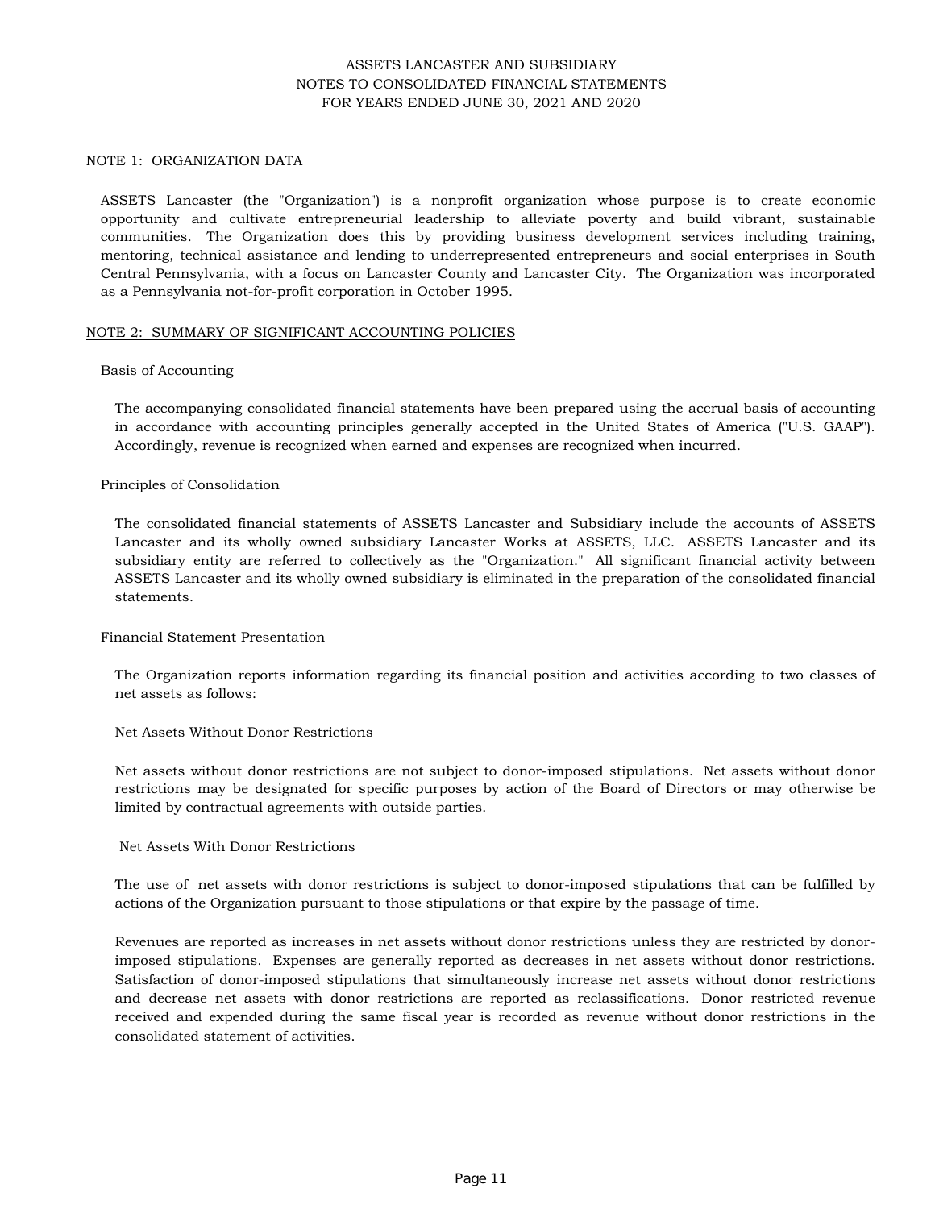### NOTE 1: ORGANIZATION DATA

ASSETS Lancaster (the "Organization") is a nonprofit organization whose purpose is to create economic opportunity and cultivate entrepreneurial leadership to alleviate poverty and build vibrant, sustainable communities. The Organization does this by providing business development services including training, mentoring, technical assistance and lending to underrepresented entrepreneurs and social enterprises in South Central Pennsylvania, with a focus on Lancaster County and Lancaster City. The Organization was incorporated as a Pennsylvania not-for-profit corporation in October 1995.

#### NOTE 2: SUMMARY OF SIGNIFICANT ACCOUNTING POLICIES

### Basis of Accounting

The accompanying consolidated financial statements have been prepared using the accrual basis of accounting in accordance with accounting principles generally accepted in the United States of America ("U.S. GAAP"). Accordingly, revenue is recognized when earned and expenses are recognized when incurred.

## Principles of Consolidation

The consolidated financial statements of ASSETS Lancaster and Subsidiary include the accounts of ASSETS Lancaster and its wholly owned subsidiary Lancaster Works at ASSETS, LLC. ASSETS Lancaster and its subsidiary entity are referred to collectively as the "Organization." All significant financial activity between ASSETS Lancaster and its wholly owned subsidiary is eliminated in the preparation of the consolidated financial statements.

## Financial Statement Presentation

The Organization reports information regarding its financial position and activities according to two classes of net assets as follows:

## Net Assets Without Donor Restrictions

Net assets without donor restrictions are not subject to donor-imposed stipulations. Net assets without donor restrictions may be designated for specific purposes by action of the Board of Directors or may otherwise be limited by contractual agreements with outside parties.

## Net Assets With Donor Restrictions

The use of net assets with donor restrictions is subject to donor-imposed stipulations that can be fulfilled by actions of the Organization pursuant to those stipulations or that expire by the passage of time.

Revenues are reported as increases in net assets without donor restrictions unless they are restricted by donorimposed stipulations. Expenses are generally reported as decreases in net assets without donor restrictions. Satisfaction of donor-imposed stipulations that simultaneously increase net assets without donor restrictions and decrease net assets with donor restrictions are reported as reclassifications. Donor restricted revenue received and expended during the same fiscal year is recorded as revenue without donor restrictions in the consolidated statement of activities.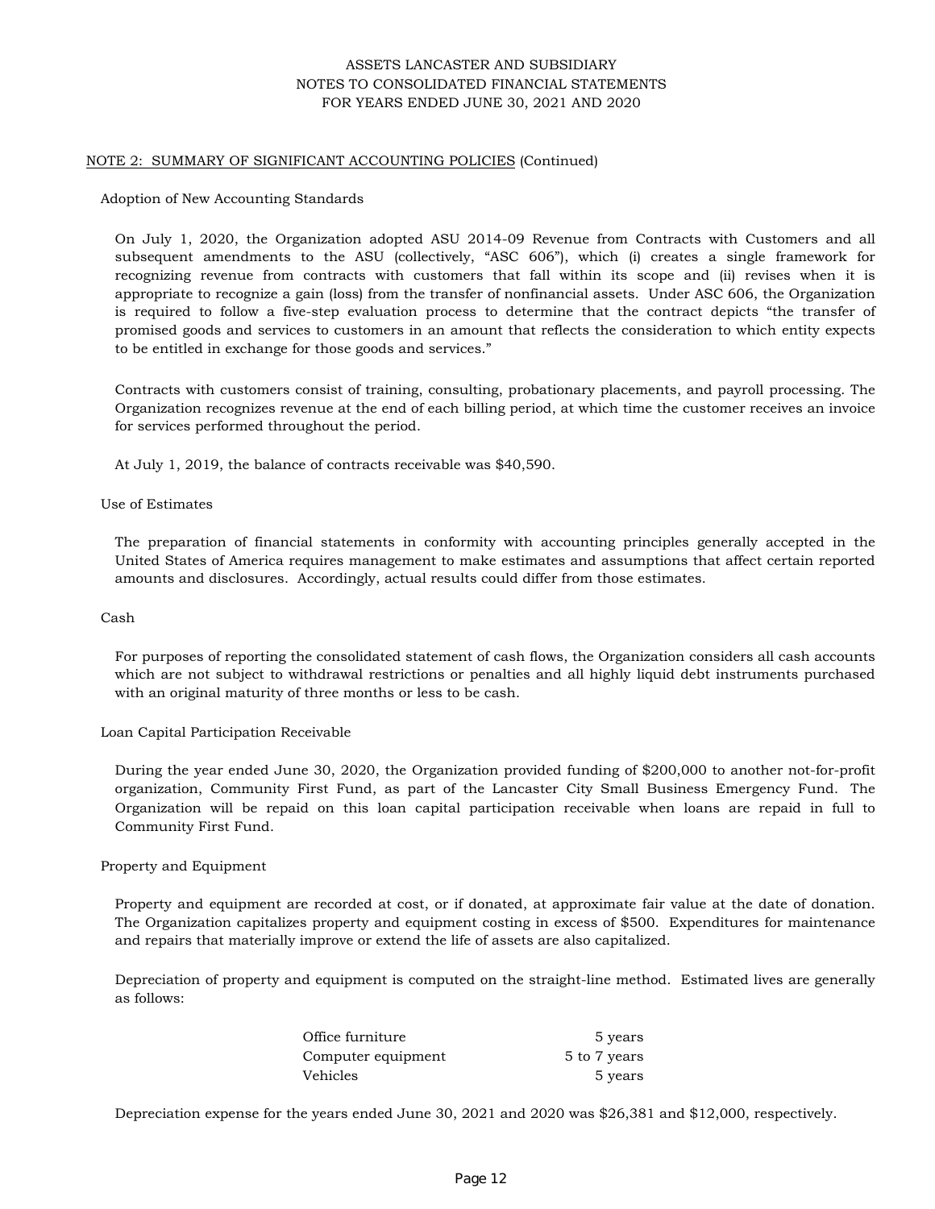### NOTE 2: SUMMARY OF SIGNIFICANT ACCOUNTING POLICIES (Continued)

### Adoption of New Accounting Standards

On July 1, 2020, the Organization adopted ASU 2014-09 Revenue from Contracts with Customers and all subsequent amendments to the ASU (collectively, "ASC 606"), which (i) creates a single framework for recognizing revenue from contracts with customers that fall within its scope and (ii) revises when it is appropriate to recognize a gain (loss) from the transfer of nonfinancial assets. Under ASC 606, the Organization is required to follow a five-step evaluation process to determine that the contract depicts "the transfer of promised goods and services to customers in an amount that reflects the consideration to which entity expects to be entitled in exchange for those goods and services."

Contracts with customers consist of training, consulting, probationary placements, and payroll processing. The Organization recognizes revenue at the end of each billing period, at which time the customer receives an invoice for services performed throughout the period.

At July 1, 2019, the balance of contracts receivable was \$40,590.

### Use of Estimates

The preparation of financial statements in conformity with accounting principles generally accepted in the United States of America requires management to make estimates and assumptions that affect certain reported amounts and disclosures. Accordingly, actual results could differ from those estimates.

### Cash

For purposes of reporting the consolidated statement of cash flows, the Organization considers all cash accounts which are not subject to withdrawal restrictions or penalties and all highly liquid debt instruments purchased with an original maturity of three months or less to be cash.

## Loan Capital Participation Receivable

During the year ended June 30, 2020, the Organization provided funding of \$200,000 to another not-for-profit organization, Community First Fund, as part of the Lancaster City Small Business Emergency Fund. The Organization will be repaid on this loan capital participation receivable when loans are repaid in full to Community First Fund.

## Property and Equipment

Property and equipment are recorded at cost, or if donated, at approximate fair value at the date of donation. The Organization capitalizes property and equipment costing in excess of \$500. Expenditures for maintenance and repairs that materially improve or extend the life of assets are also capitalized.

Depreciation of property and equipment is computed on the straight-line method. Estimated lives are generally as follows:

| Office furniture   | 5 years      |
|--------------------|--------------|
| Computer equipment | 5 to 7 years |
| Vehicles           | 5 years      |

Depreciation expense for the years ended June 30, 2021 and 2020 was \$26,381 and \$12,000, respectively.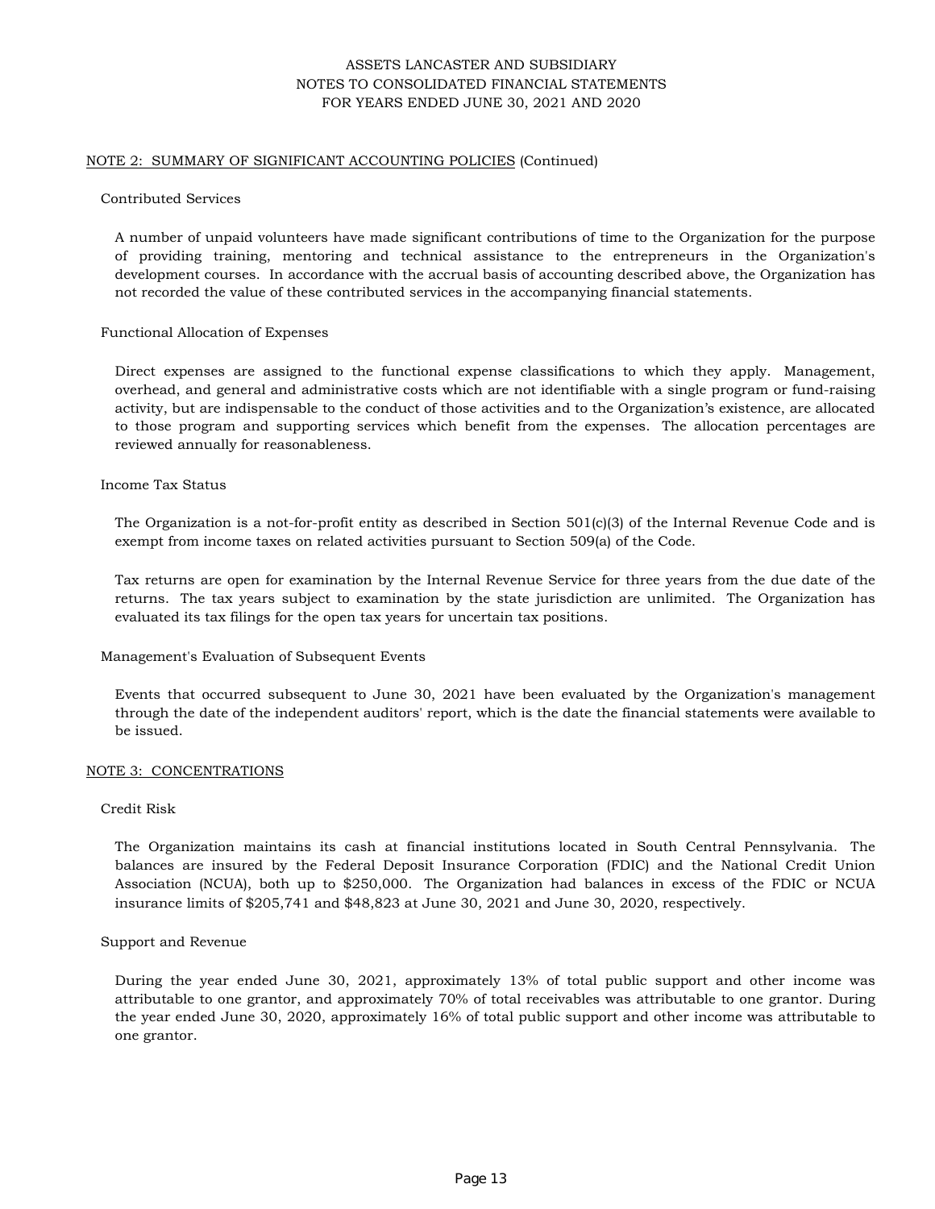### NOTE 2: SUMMARY OF SIGNIFICANT ACCOUNTING POLICIES (Continued)

### Contributed Services

A number of unpaid volunteers have made significant contributions of time to the Organization for the purpose of providing training, mentoring and technical assistance to the entrepreneurs in the Organization's development courses. In accordance with the accrual basis of accounting described above, the Organization has not recorded the value of these contributed services in the accompanying financial statements.

### Functional Allocation of Expenses

Direct expenses are assigned to the functional expense classifications to which they apply. Management, overhead, and general and administrative costs which are not identifiable with a single program or fund-raising activity, but are indispensable to the conduct of those activities and to the Organization's existence, are allocated to those program and supporting services which benefit from the expenses. The allocation percentages are reviewed annually for reasonableness.

### Income Tax Status

The Organization is a not-for-profit entity as described in Section 501(c)(3) of the Internal Revenue Code and is exempt from income taxes on related activities pursuant to Section 509(a) of the Code.

Tax returns are open for examination by the Internal Revenue Service for three years from the due date of the returns. The tax years subject to examination by the state jurisdiction are unlimited. The Organization has evaluated its tax filings for the open tax years for uncertain tax positions.

## Management's Evaluation of Subsequent Events

Events that occurred subsequent to June 30, 2021 have been evaluated by the Organization's management through the date of the independent auditors' report, which is the date the financial statements were available to be issued.

#### NOTE 3: CONCENTRATIONS

#### Credit Risk

The Organization maintains its cash at financial institutions located in South Central Pennsylvania. The balances are insured by the Federal Deposit Insurance Corporation (FDIC) and the National Credit Union Association (NCUA), both up to \$250,000. The Organization had balances in excess of the FDIC or NCUA insurance limits of \$205,741 and \$48,823 at June 30, 2021 and June 30, 2020, respectively.

#### Support and Revenue

During the year ended June 30, 2021, approximately 13% of total public support and other income was attributable to one grantor, and approximately 70% of total receivables was attributable to one grantor. During the year ended June 30, 2020, approximately 16% of total public support and other income was attributable to one grantor.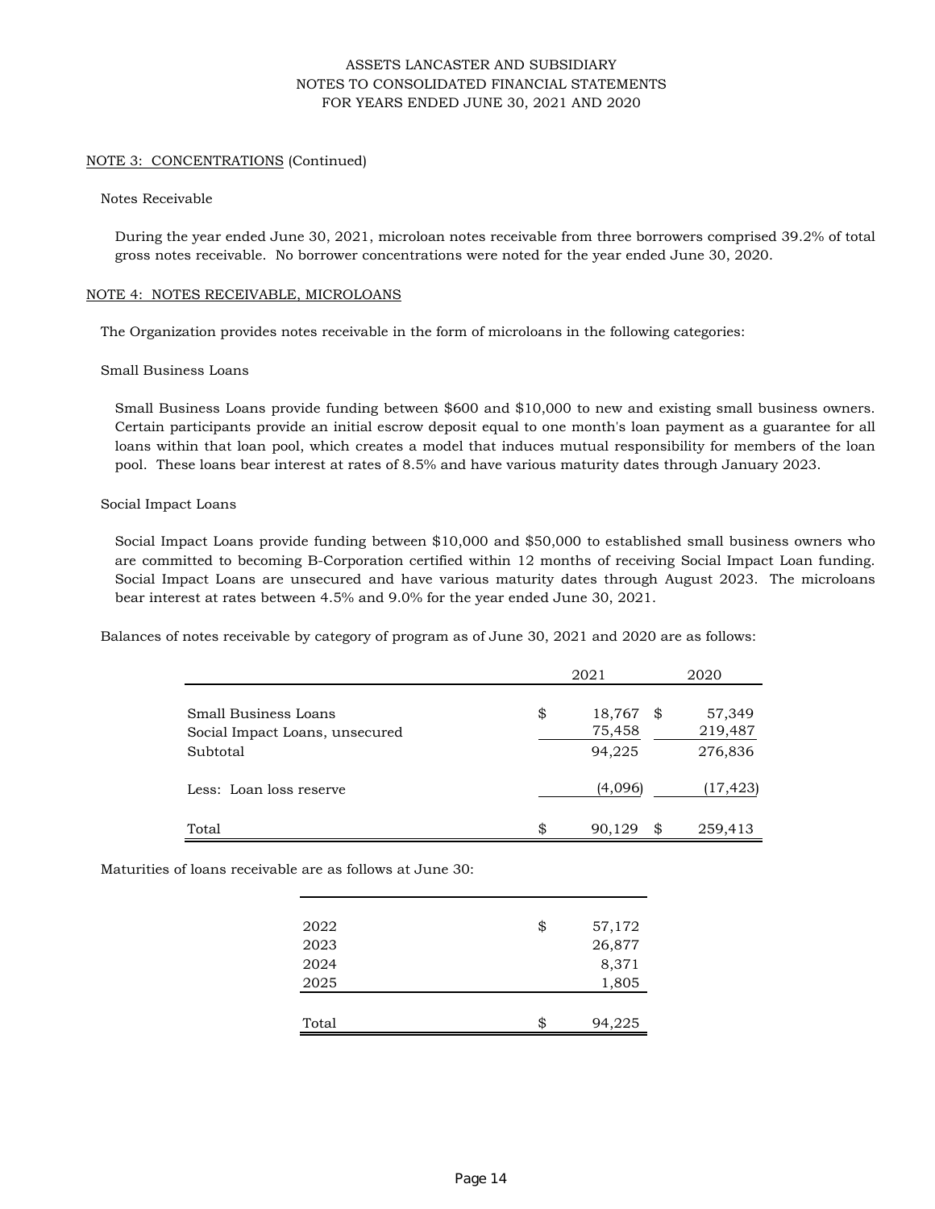### NOTE 3: CONCENTRATIONS (Continued)

#### Notes Receivable

During the year ended June 30, 2021, microloan notes receivable from three borrowers comprised 39.2% of total gross notes receivable. No borrower concentrations were noted for the year ended June 30, 2020.

#### NOTE 4: NOTES RECEIVABLE, MICROLOANS

The Organization provides notes receivable in the form of microloans in the following categories:

### Small Business Loans

Small Business Loans provide funding between \$600 and \$10,000 to new and existing small business owners. Certain participants provide an initial escrow deposit equal to one month's loan payment as a guarantee for all loans within that loan pool, which creates a model that induces mutual responsibility for members of the loan pool. These loans bear interest at rates of 8.5% and have various maturity dates through January 2023.

### Social Impact Loans

Social Impact Loans provide funding between \$10,000 and \$50,000 to established small business owners who are committed to becoming B-Corporation certified within 12 months of receiving Social Impact Loan funding. Social Impact Loans are unsecured and have various maturity dates through August 2023. The microloans bear interest at rates between 4.5% and 9.0% for the year ended June 30, 2021.

Balances of notes receivable by category of program as of June 30, 2021 and 2020 are as follows:

|                                            |    | 2020             |                    |
|--------------------------------------------|----|------------------|--------------------|
| Small Business Loans                       | \$ | 18,767<br>\$     | 57,349             |
| Social Impact Loans, unsecured<br>Subtotal |    | 75,458<br>94,225 | 219,487<br>276,836 |
| Less: Loan loss reserve                    |    | (4,096)          | (17, 423)          |
| Total                                      | \$ | 90,129<br>\$.    | 259,413            |

Maturities of loans receivable are as follows at June 30:

| 2022<br>2023<br>2024<br>2025 | \$<br>57,172<br>26,877<br>8,371<br>1,805 |
|------------------------------|------------------------------------------|
| Total                        | \$<br>94,225                             |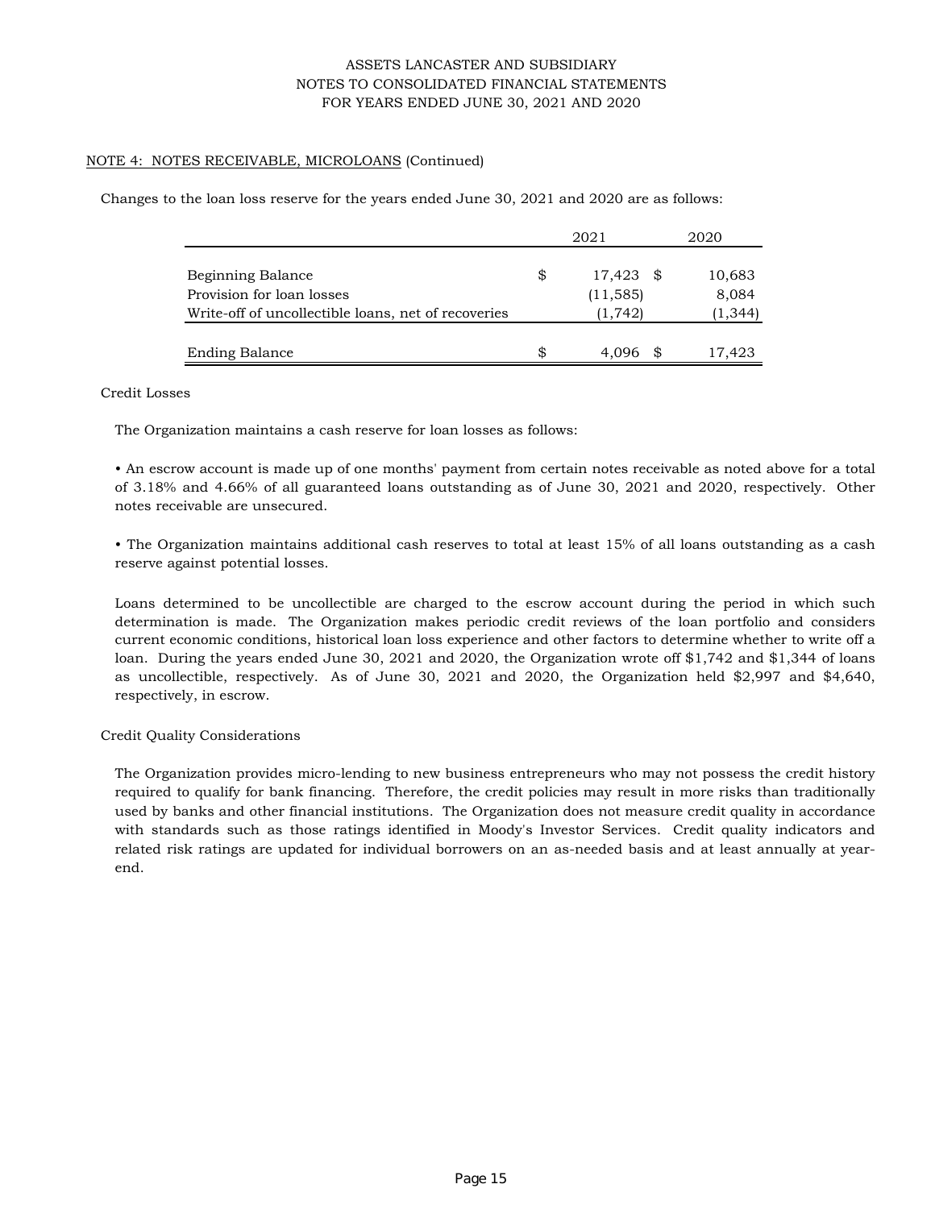## NOTE 4: NOTES RECEIVABLE, MICROLOANS (Continued)

Changes to the loan loss reserve for the years ended June 30, 2021 and 2020 are as follows:

|                                                     | 2021                 | 2020     |
|-----------------------------------------------------|----------------------|----------|
|                                                     |                      |          |
| Beginning Balance                                   | \$<br>17,423<br>- \$ | 10,683   |
| Provision for loan losses                           | (11, 585)            | 8,084    |
| Write-off of uncollectible loans, net of recoveries | (1.742)              | (1, 344) |
|                                                     |                      |          |
| Ending Balance                                      | \$                   | 17,423   |

## Credit Losses

The Organization maintains a cash reserve for loan losses as follows:

• An escrow account is made up of one months' payment from certain notes receivable as noted above for a total of 3.18% and 4.66% of all guaranteed loans outstanding as of June 30, 2021 and 2020, respectively. Other notes receivable are unsecured.

• The Organization maintains additional cash reserves to total at least 15% of all loans outstanding as a cash reserve against potential losses.

Loans determined to be uncollectible are charged to the escrow account during the period in which such determination is made. The Organization makes periodic credit reviews of the loan portfolio and considers current economic conditions, historical loan loss experience and other factors to determine whether to write off a loan. During the years ended June 30, 2021 and 2020, the Organization wrote off \$1,742 and \$1,344 of loans as uncollectible, respectively. As of June 30, 2021 and 2020, the Organization held \$2,997 and \$4,640, respectively, in escrow.

## Credit Quality Considerations

The Organization provides micro-lending to new business entrepreneurs who may not possess the credit history required to qualify for bank financing. Therefore, the credit policies may result in more risks than traditionally used by banks and other financial institutions. The Organization does not measure credit quality in accordance with standards such as those ratings identified in Moody's Investor Services. Credit quality indicators and related risk ratings are updated for individual borrowers on an as-needed basis and at least annually at yearend.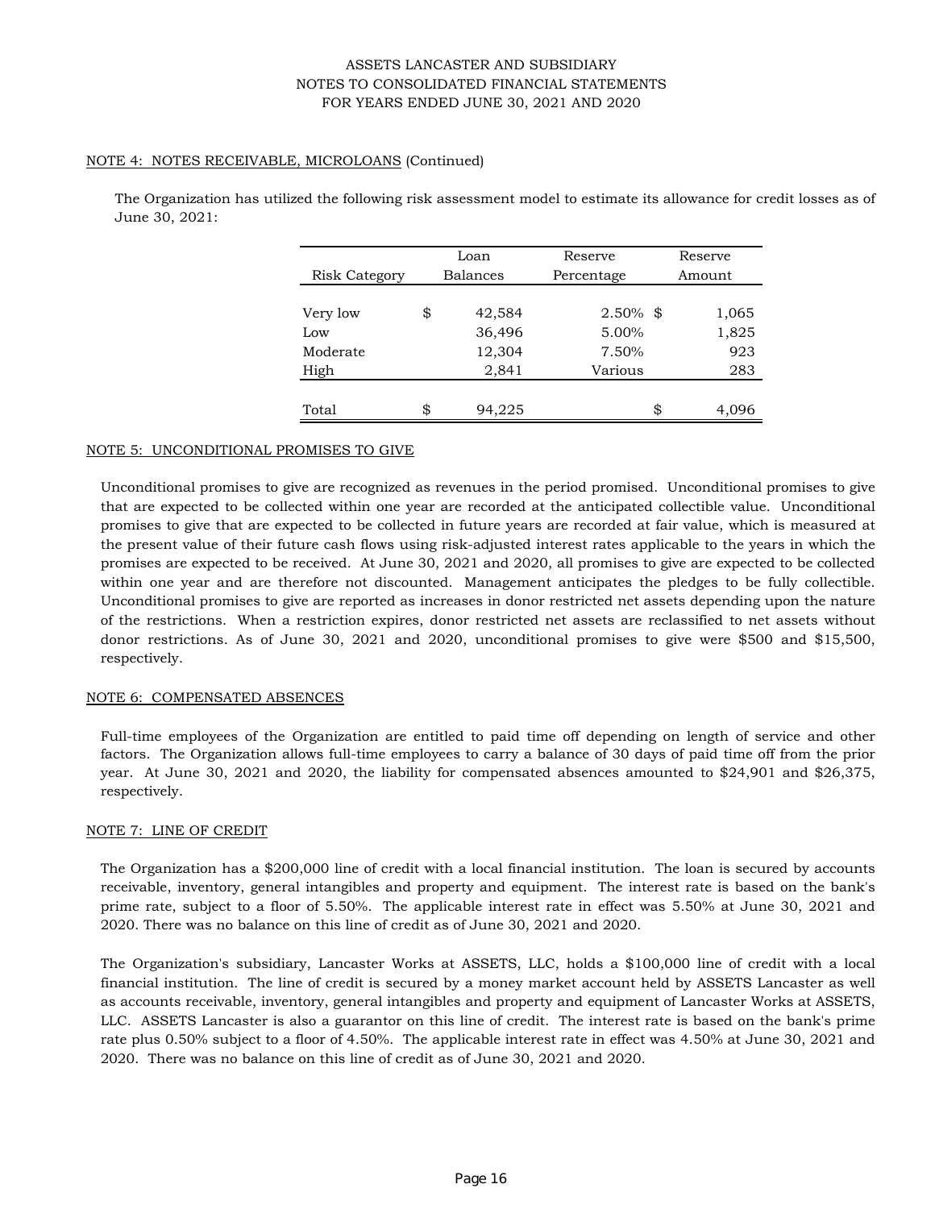## NOTE 4: NOTES RECEIVABLE, MICROLOANS (Continued)

The Organization has utilized the following risk assessment model to estimate its allowance for credit losses as of June 30, 2021:

| Risk Category | Loan     |        | Reserve     | Reserve |  |  |
|---------------|----------|--------|-------------|---------|--|--|
|               | Balances |        | Percentage  | Amount  |  |  |
| Very low      | \$       | 42,584 | $2.50\%$ \$ | 1,065   |  |  |
| Low           |          | 36,496 | 5.00%       | 1,825   |  |  |
| Moderate      |          | 12,304 | 7.50%       | 923     |  |  |
| High          |          | 2,841  | Various     | 283     |  |  |
| Total         | \$       | 94,225 | \$          | 4,096   |  |  |

## NOTE 5: UNCONDITIONAL PROMISES TO GIVE

Unconditional promises to give are recognized as revenues in the period promised. Unconditional promises to give that are expected to be collected within one year are recorded at the anticipated collectible value. Unconditional promises to give that are expected to be collected in future years are recorded at fair value, which is measured at the present value of their future cash flows using risk-adjusted interest rates applicable to the years in which the promises are expected to be received. At June 30, 2021 and 2020, all promises to give are expected to be collected within one year and are therefore not discounted. Management anticipates the pledges to be fully collectible. Unconditional promises to give are reported as increases in donor restricted net assets depending upon the nature of the restrictions. When a restriction expires, donor restricted net assets are reclassified to net assets without donor restrictions. As of June 30, 2021 and 2020, unconditional promises to give were \$500 and \$15,500, respectively.

## NOTE 6: COMPENSATED ABSENCES

Full-time employees of the Organization are entitled to paid time off depending on length of service and other factors. The Organization allows full-time employees to carry a balance of 30 days of paid time off from the prior year. At June 30, 2021 and 2020, the liability for compensated absences amounted to \$24,901 and \$26,375, respectively.

## NOTE 7: LINE OF CREDIT

The Organization has a \$200,000 line of credit with a local financial institution. The loan is secured by accounts receivable, inventory, general intangibles and property and equipment. The interest rate is based on the bank's prime rate, subject to a floor of 5.50%. The applicable interest rate in effect was 5.50% at June 30, 2021 and 2020. There was no balance on this line of credit as of June 30, 2021 and 2020.

The Organization's subsidiary, Lancaster Works at ASSETS, LLC, holds a \$100,000 line of credit with a local financial institution. The line of credit is secured by a money market account held by ASSETS Lancaster as well as accounts receivable, inventory, general intangibles and property and equipment of Lancaster Works at ASSETS, LLC. ASSETS Lancaster is also a guarantor on this line of credit. The interest rate is based on the bank's prime rate plus 0.50% subject to a floor of 4.50%. The applicable interest rate in effect was 4.50% at June 30, 2021 and 2020. There was no balance on this line of credit as of June 30, 2021 and 2020.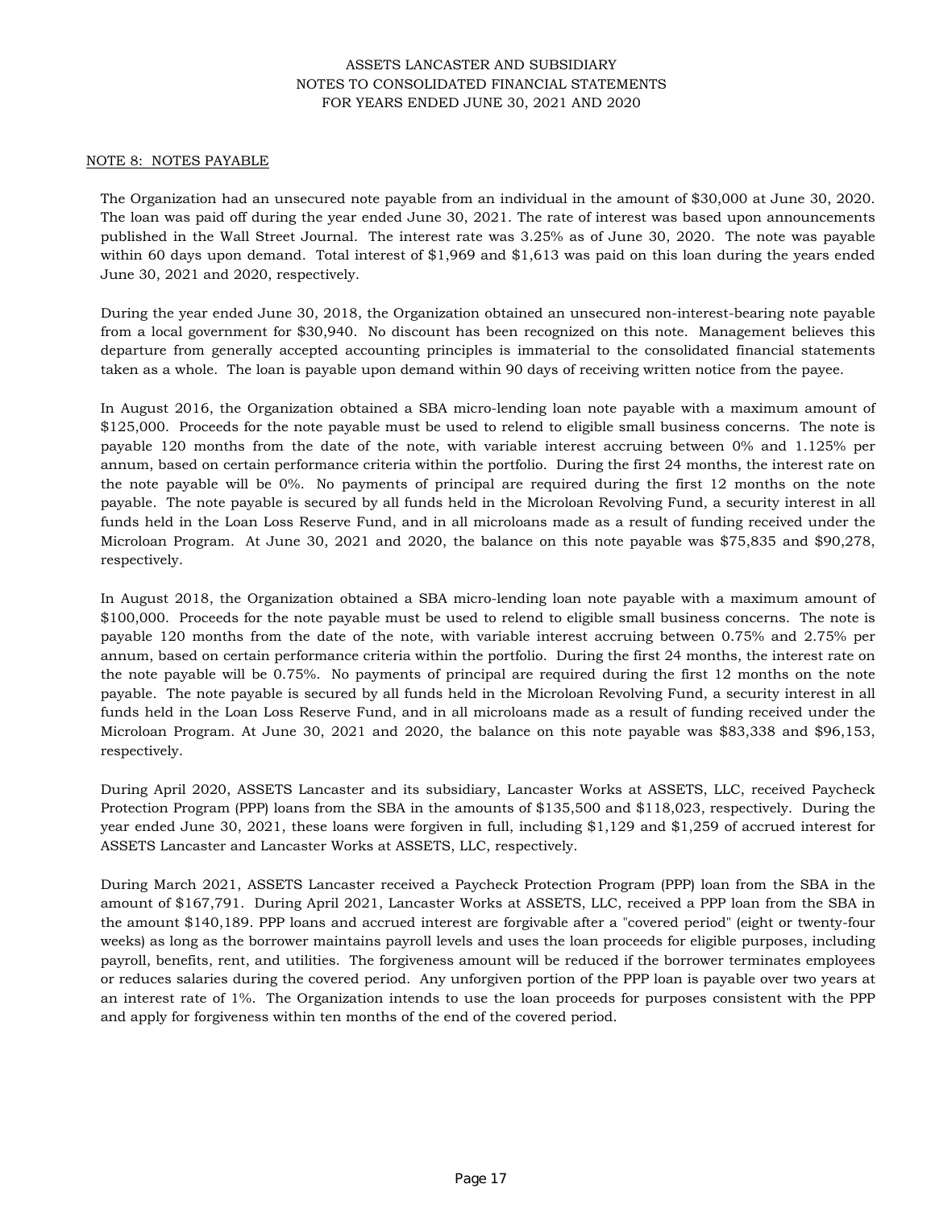### NOTE 8: NOTES PAYABLE

The Organization had an unsecured note payable from an individual in the amount of \$30,000 at June 30, 2020. The loan was paid off during the year ended June 30, 2021. The rate of interest was based upon announcements published in the Wall Street Journal. The interest rate was 3.25% as of June 30, 2020. The note was payable within 60 days upon demand. Total interest of \$1,969 and \$1,613 was paid on this loan during the years ended June 30, 2021 and 2020, respectively.

During the year ended June 30, 2018, the Organization obtained an unsecured non-interest-bearing note payable from a local government for \$30,940. No discount has been recognized on this note. Management believes this departure from generally accepted accounting principles is immaterial to the consolidated financial statements taken as a whole. The loan is payable upon demand within 90 days of receiving written notice from the payee.

In August 2016, the Organization obtained a SBA micro-lending loan note payable with a maximum amount of \$125,000. Proceeds for the note payable must be used to relend to eligible small business concerns. The note is payable 120 months from the date of the note, with variable interest accruing between 0% and 1.125% per annum, based on certain performance criteria within the portfolio. During the first 24 months, the interest rate on the note payable will be 0%. No payments of principal are required during the first 12 months on the note payable. The note payable is secured by all funds held in the Microloan Revolving Fund, a security interest in all funds held in the Loan Loss Reserve Fund, and in all microloans made as a result of funding received under the Microloan Program. At June 30, 2021 and 2020, the balance on this note payable was \$75,835 and \$90,278, respectively.

In August 2018, the Organization obtained a SBA micro-lending loan note payable with a maximum amount of \$100,000. Proceeds for the note payable must be used to relend to eligible small business concerns. The note is payable 120 months from the date of the note, with variable interest accruing between 0.75% and 2.75% per annum, based on certain performance criteria within the portfolio. During the first 24 months, the interest rate on the note payable will be 0.75%. No payments of principal are required during the first 12 months on the note payable. The note payable is secured by all funds held in the Microloan Revolving Fund, a security interest in all funds held in the Loan Loss Reserve Fund, and in all microloans made as a result of funding received under the Microloan Program. At June 30, 2021 and 2020, the balance on this note payable was \$83,338 and \$96,153, respectively.

During April 2020, ASSETS Lancaster and its subsidiary, Lancaster Works at ASSETS, LLC, received Paycheck Protection Program (PPP) loans from the SBA in the amounts of \$135,500 and \$118,023, respectively. During the year ended June 30, 2021, these loans were forgiven in full, including \$1,129 and \$1,259 of accrued interest for ASSETS Lancaster and Lancaster Works at ASSETS, LLC, respectively.

During March 2021, ASSETS Lancaster received a Paycheck Protection Program (PPP) loan from the SBA in the amount of \$167,791. During April 2021, Lancaster Works at ASSETS, LLC, received a PPP loan from the SBA in the amount \$140,189. PPP loans and accrued interest are forgivable after a "covered period" (eight or twenty-four weeks) as long as the borrower maintains payroll levels and uses the loan proceeds for eligible purposes, including payroll, benefits, rent, and utilities. The forgiveness amount will be reduced if the borrower terminates employees or reduces salaries during the covered period. Any unforgiven portion of the PPP loan is payable over two years at an interest rate of 1%. The Organization intends to use the loan proceeds for purposes consistent with the PPP and apply for forgiveness within ten months of the end of the covered period.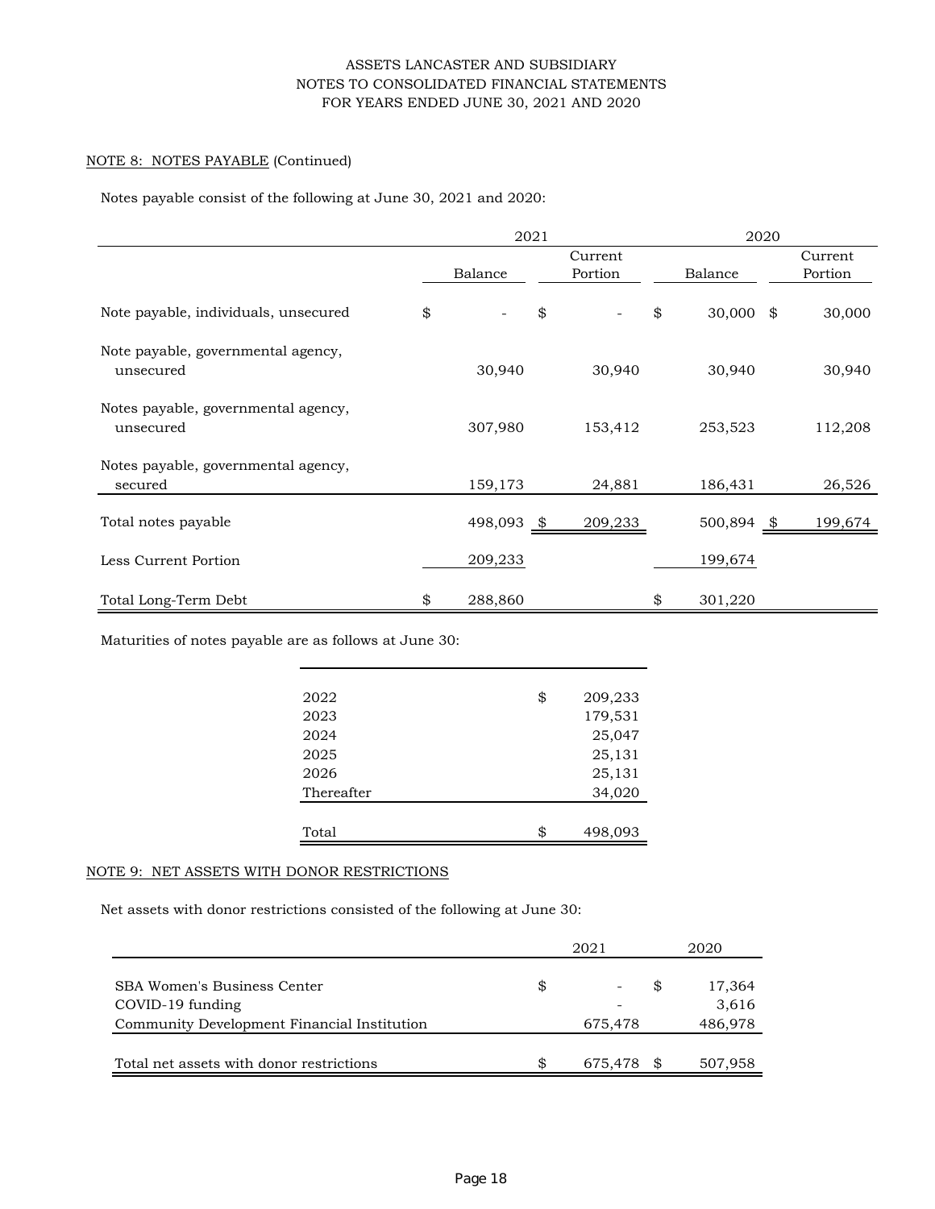# NOTE 8: NOTES PAYABLE (Continued)

Notes payable consist of the following at June 30, 2021 and 2020:

|                                                  | 2021          |    |                    | 2020 |             |  |                    |
|--------------------------------------------------|---------------|----|--------------------|------|-------------|--|--------------------|
|                                                  | Balance       |    | Current<br>Portion |      | Balance     |  | Current<br>Portion |
| Note payable, individuals, unsecured             | \$            | \$ |                    | \$   | $30,000$ \$ |  | 30,000             |
| Note payable, governmental agency,<br>unsecured  | 30,940        |    | 30,940             |      | 30,940      |  | 30,940             |
| Notes payable, governmental agency,<br>unsecured | 307,980       |    | 153,412            |      | 253,523     |  | 112,208            |
| Notes payable, governmental agency,<br>secured   | 159,173       |    | 24,881             |      | 186,431     |  | 26,526             |
| Total notes payable                              | 498,093 \$    |    | 209,233            |      | 500,894 \$  |  | 199,674            |
| Less Current Portion                             | 209,233       |    |                    |      | 199,674     |  |                    |
| Total Long-Term Debt                             | \$<br>288,860 |    |                    | \$   | 301,220     |  |                    |

Maturities of notes payable are as follows at June 30:

| 2022       | \$<br>209,233 |
|------------|---------------|
| 2023       | 179,531       |
| 2024       | 25,047        |
| 2025       | 25,131        |
| 2026       | 25,131        |
| Thereafter | 34,020        |
|            |               |
| Total      | \$<br>498,093 |

# NOTE 9: NET ASSETS WITH DONOR RESTRICTIONS

Net assets with donor restrictions consisted of the following at June 30:

|                                             | 2021 |                          |     | 2020    |  |
|---------------------------------------------|------|--------------------------|-----|---------|--|
|                                             |      |                          |     |         |  |
| SBA Women's Business Center                 | \$.  | $\overline{\phantom{a}}$ | \$. | 17.364  |  |
| COVID-19 funding                            |      | $\overline{\phantom{0}}$ |     | 3,616   |  |
| Community Development Financial Institution |      | 675,478                  |     | 486,978 |  |
|                                             |      |                          |     |         |  |
| Total net assets with donor restrictions    | S    | 675.478                  |     | 507.958 |  |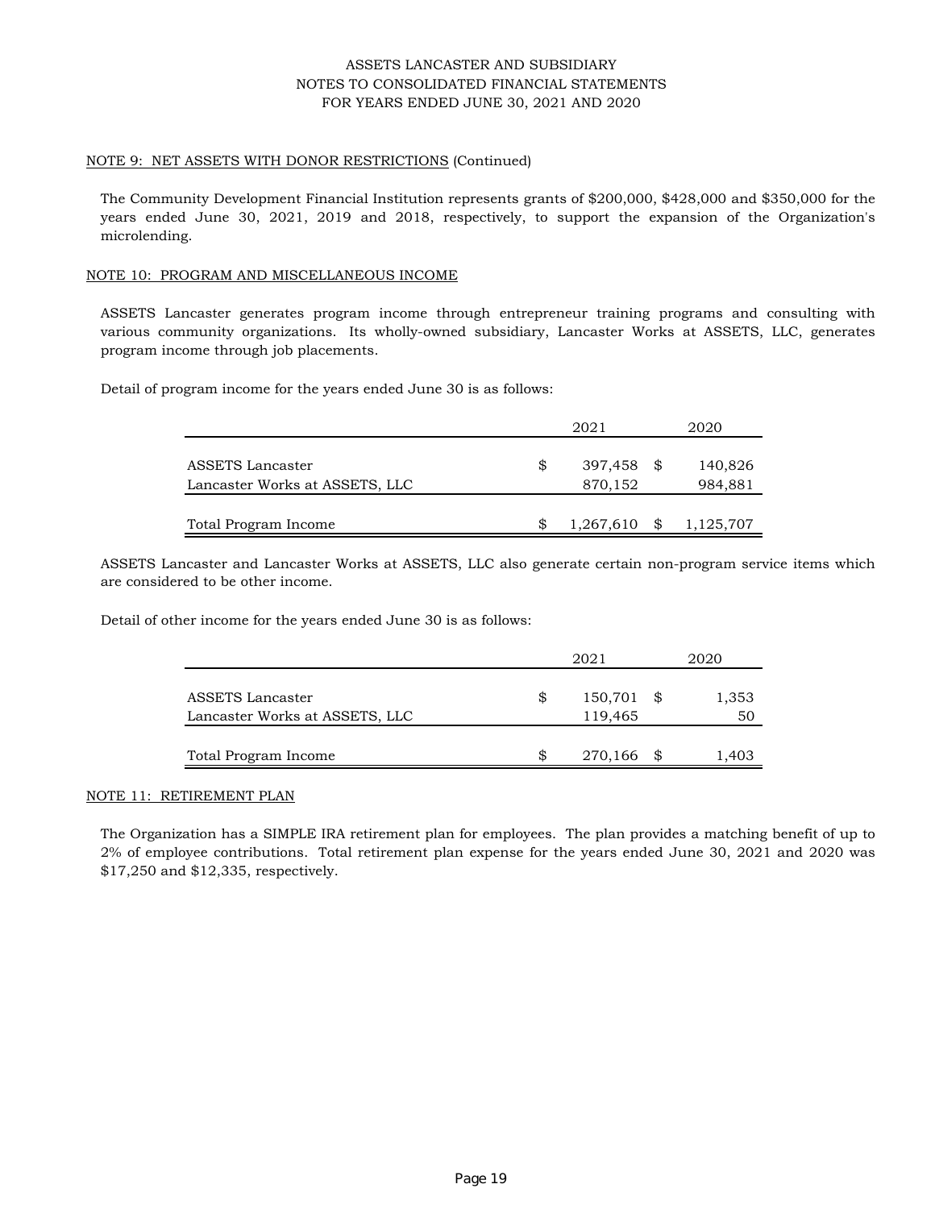## NOTE 9: NET ASSETS WITH DONOR RESTRICTIONS (Continued)

The Community Development Financial Institution represents grants of \$200,000, \$428,000 and \$350,000 for the years ended June 30, 2021, 2019 and 2018, respectively, to support the expansion of the Organization's microlending.

## NOTE 10: PROGRAM AND MISCELLANEOUS INCOME

ASSETS Lancaster generates program income through entrepreneur training programs and consulting with various community organizations. Its wholly-owned subsidiary, Lancaster Works at ASSETS, LLC, generates program income through job placements.

Detail of program income for the years ended June 30 is as follows:

|                                                    | 2021                     |      | 2020               |  |  |
|----------------------------------------------------|--------------------------|------|--------------------|--|--|
| ASSETS Lancaster<br>Lancaster Works at ASSETS, LLC | \$<br>397,458<br>870,152 | - \$ | 140,826<br>984,881 |  |  |
| Total Program Income                               | \$<br>$1,267,610$ \$     |      | 1,125,707          |  |  |

ASSETS Lancaster and Lancaster Works at ASSETS, LLC also generate certain non-program service items which are considered to be other income.

Detail of other income for the years ended June 30 is as follows:

|                                | 2021 |         |      | 2020  |  |
|--------------------------------|------|---------|------|-------|--|
| <b>ASSETS</b> Lancaster        | \$   | 150,701 | - \$ | 1,353 |  |
| Lancaster Works at ASSETS, LLC |      | 119,465 |      | 50    |  |
|                                |      |         |      |       |  |
| Total Program Income           | \$   | 270,166 |      | 1,403 |  |

## NOTE 11: RETIREMENT PLAN

The Organization has a SIMPLE IRA retirement plan for employees. The plan provides a matching benefit of up to 2% of employee contributions. Total retirement plan expense for the years ended June 30, 2021 and 2020 was \$17,250 and \$12,335, respectively.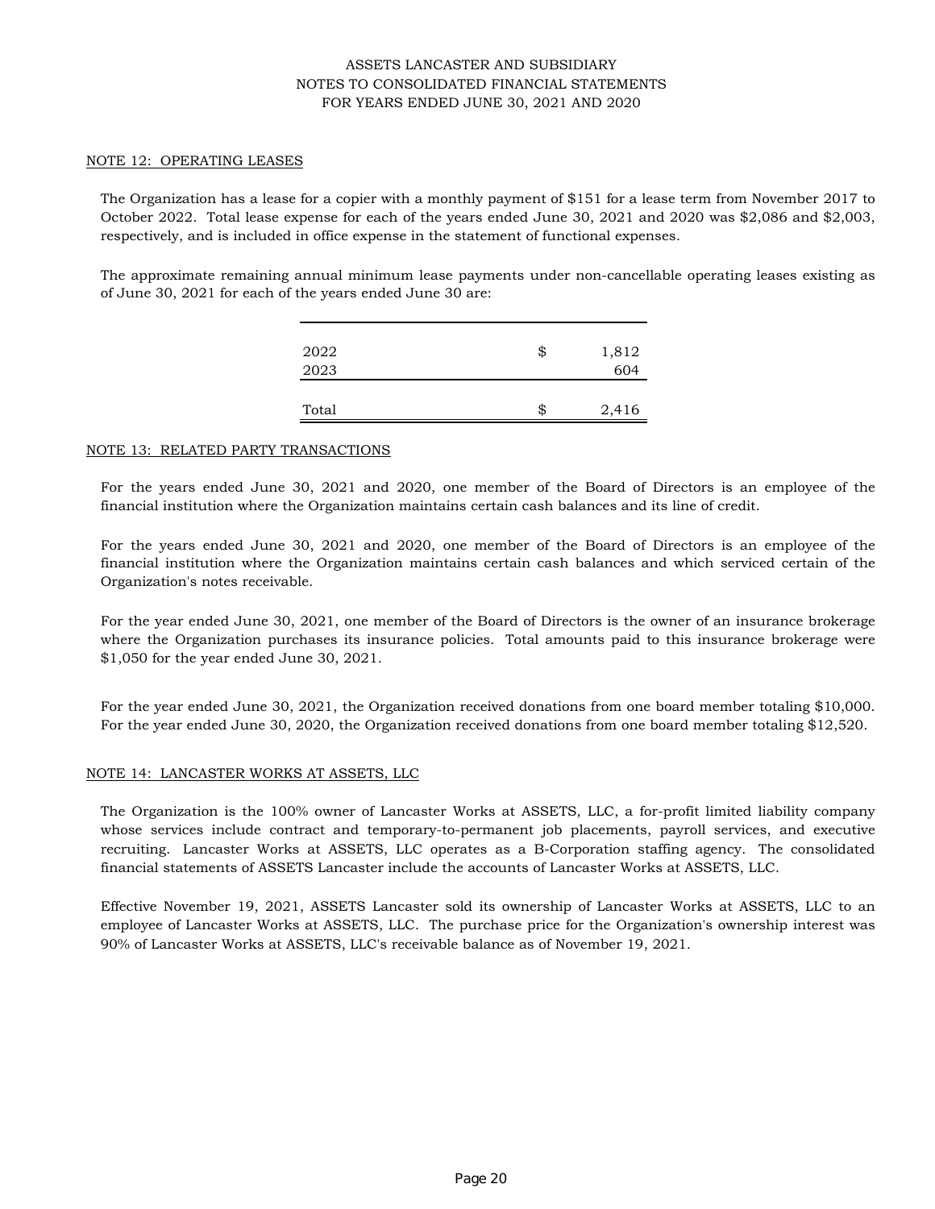### NOTE 12: OPERATING LEASES

The Organization has a lease for a copier with a monthly payment of \$151 for a lease term from November 2017 to October 2022. Total lease expense for each of the years ended June 30, 2021 and 2020 was \$2,086 and \$2,003, respectively, and is included in office expense in the statement of functional expenses.

The approximate remaining annual minimum lease payments under non-cancellable operating leases existing as of June 30, 2021 for each of the years ended June 30 are:

| 2022<br>2023 | \$<br>1,812<br>604 |
|--------------|--------------------|
| Total        | \$<br>2,416        |

### NOTE 13: RELATED PARTY TRANSACTIONS

For the years ended June 30, 2021 and 2020, one member of the Board of Directors is an employee of the financial institution where the Organization maintains certain cash balances and its line of credit.

For the years ended June 30, 2021 and 2020, one member of the Board of Directors is an employee of the financial institution where the Organization maintains certain cash balances and which serviced certain of the Organization's notes receivable.

For the year ended June 30, 2021, one member of the Board of Directors is the owner of an insurance brokerage where the Organization purchases its insurance policies. Total amounts paid to this insurance brokerage were \$1,050 for the year ended June 30, 2021.

For the year ended June 30, 2021, the Organization received donations from one board member totaling \$10,000. For the year ended June 30, 2020, the Organization received donations from one board member totaling \$12,520.

#### NOTE 14: LANCASTER WORKS AT ASSETS, LLC

The Organization is the 100% owner of Lancaster Works at ASSETS, LLC, a for-profit limited liability company whose services include contract and temporary-to-permanent job placements, payroll services, and executive recruiting. Lancaster Works at ASSETS, LLC operates as a B-Corporation staffing agency. The consolidated financial statements of ASSETS Lancaster include the accounts of Lancaster Works at ASSETS, LLC.

Effective November 19, 2021, ASSETS Lancaster sold its ownership of Lancaster Works at ASSETS, LLC to an employee of Lancaster Works at ASSETS, LLC. The purchase price for the Organization's ownership interest was 90% of Lancaster Works at ASSETS, LLC's receivable balance as of November 19, 2021.